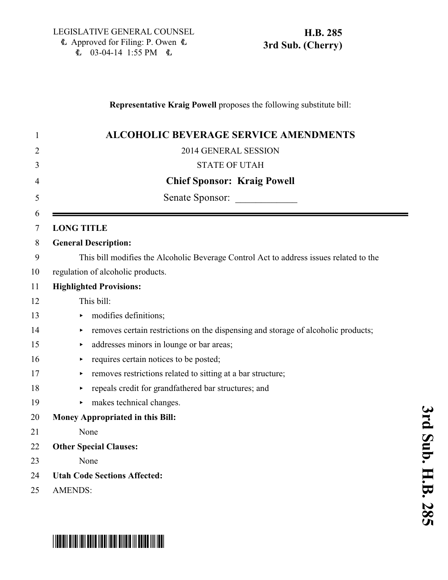### **Representative Kraig Powell** proposes the following substitute bill:

| 1      | <b>ALCOHOLIC BEVERAGE SERVICE AMENDMENTS</b>                                           |
|--------|----------------------------------------------------------------------------------------|
| 2      | 2014 GENERAL SESSION                                                                   |
| 3      | <b>STATE OF UTAH</b>                                                                   |
| 4      | <b>Chief Sponsor: Kraig Powell</b>                                                     |
| 5      | Senate Sponsor:                                                                        |
| 6<br>7 | <b>LONG TITLE</b>                                                                      |
| 8      | <b>General Description:</b>                                                            |
| 9      | This bill modifies the Alcoholic Beverage Control Act to address issues related to the |
| 10     | regulation of alcoholic products.                                                      |
| 11     | <b>Highlighted Provisions:</b>                                                         |
| 12     | This bill:                                                                             |
| 13     | modifies definitions;<br>▶                                                             |
| 14     | removes certain restrictions on the dispensing and storage of alcoholic products;<br>▶ |
| 15     | addresses minors in lounge or bar areas;<br>▶                                          |
| 16     | requires certain notices to be posted;                                                 |
| 17     | removes restrictions related to sitting at a bar structure;                            |
| 18     | repeals credit for grandfathered bar structures; and                                   |
| 19     | makes technical changes.                                                               |
| 20     | Money Appropriated in this Bill:                                                       |
| 21     | None                                                                                   |
| 22     | <b>Other Special Clauses:</b>                                                          |
| 23     | None                                                                                   |
| 24     | <b>Utah Code Sections Affected:</b>                                                    |
| 25     | <b>AMENDS:</b>                                                                         |

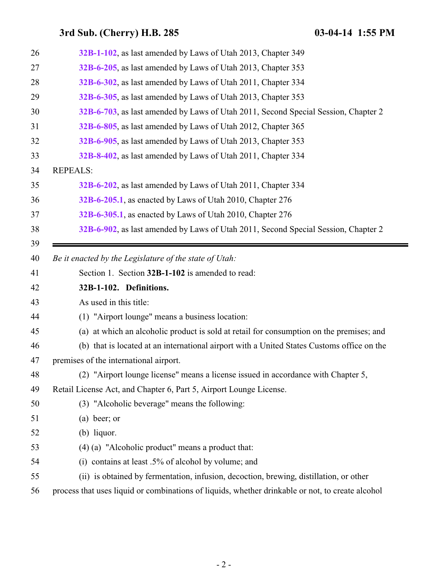<span id="page-1-0"></span>

| 26 | 32B-1-102, as last amended by Laws of Utah 2013, Chapter 349                                     |
|----|--------------------------------------------------------------------------------------------------|
| 27 | 32B-6-205, as last amended by Laws of Utah 2013, Chapter 353                                     |
| 28 | 32B-6-302, as last amended by Laws of Utah 2011, Chapter 334                                     |
| 29 | 32B-6-305, as last amended by Laws of Utah 2013, Chapter 353                                     |
| 30 | 32B-6-703, as last amended by Laws of Utah 2011, Second Special Session, Chapter 2               |
| 31 | 32B-6-805, as last amended by Laws of Utah 2012, Chapter 365                                     |
| 32 | 32B-6-905, as last amended by Laws of Utah 2013, Chapter 353                                     |
| 33 | 32B-8-402, as last amended by Laws of Utah 2011, Chapter 334                                     |
| 34 | <b>REPEALS:</b>                                                                                  |
| 35 | 32B-6-202, as last amended by Laws of Utah 2011, Chapter 334                                     |
| 36 | 32B-6-205.1, as enacted by Laws of Utah 2010, Chapter 276                                        |
| 37 | 32B-6-305.1, as enacted by Laws of Utah 2010, Chapter 276                                        |
| 38 | 32B-6-902, as last amended by Laws of Utah 2011, Second Special Session, Chapter 2               |
| 39 |                                                                                                  |
| 40 | Be it enacted by the Legislature of the state of Utah:                                           |
| 41 | Section 1. Section 32B-1-102 is amended to read:                                                 |
| 42 | 32B-1-102. Definitions.                                                                          |
| 43 | As used in this title:                                                                           |
| 44 | (1) "Airport lounge" means a business location:                                                  |
| 45 | (a) at which an alcoholic product is sold at retail for consumption on the premises; and         |
| 46 | (b) that is located at an international airport with a United States Customs office on the       |
| 47 | premises of the international airport.                                                           |
| 48 | (2) "Airport lounge license" means a license issued in accordance with Chapter 5,                |
| 49 | Retail License Act, and Chapter 6, Part 5, Airport Lounge License.                               |
| 50 | (3) "Alcoholic beverage" means the following:                                                    |
| 51 | $(a)$ beer; or                                                                                   |
| 52 | $(b)$ liquor.                                                                                    |
| 53 | (4) (a) "Alcoholic product" means a product that:                                                |
| 54 | (i) contains at least $.5\%$ of alcohol by volume; and                                           |
| 55 | (ii) is obtained by fermentation, infusion, decoction, brewing, distillation, or other           |
| 56 | process that uses liquid or combinations of liquids, whether drinkable or not, to create alcohol |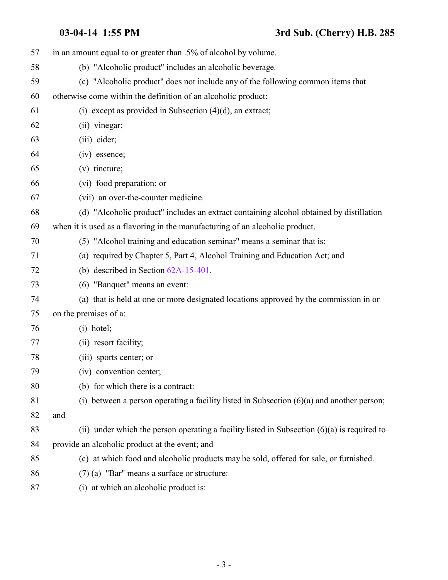| 57 | in an amount equal to or greater than .5% of alcohol by volume.                               |
|----|-----------------------------------------------------------------------------------------------|
| 58 | (b) "Alcoholic product" includes an alcoholic beverage.                                       |
| 59 | (c) "Alcoholic product" does not include any of the following common items that               |
| 60 | otherwise come within the definition of an alcoholic product:                                 |
| 61 | (i) except as provided in Subsection $(4)(d)$ , an extract;                                   |
| 62 | (ii) vinegar;                                                                                 |
| 63 | (iii) cider;                                                                                  |
| 64 | (iv) essence;                                                                                 |
| 65 | $(v)$ tincture;                                                                               |
| 66 | (vi) food preparation; or                                                                     |
| 67 | (vii) an over-the-counter medicine.                                                           |
| 68 | (d) "Alcoholic product" includes an extract containing alcohol obtained by distillation       |
| 69 | when it is used as a flavoring in the manufacturing of an alcoholic product.                  |
| 70 | (5) "Alcohol training and education seminar" means a seminar that is:                         |
| 71 | (a) required by Chapter 5, Part 4, Alcohol Training and Education Act; and                    |
| 72 | (b) described in Section $62A-15-401$ .                                                       |
| 73 | (6) "Banquet" means an event:                                                                 |
| 74 | (a) that is held at one or more designated locations approved by the commission in or         |
| 75 | on the premises of a:                                                                         |
| 76 | $(i)$ hotel;                                                                                  |
| 77 | (ii) resort facility;                                                                         |
| 78 | (iii) sports center; or                                                                       |
| 79 | (iv) convention center;                                                                       |
| 80 | (b) for which there is a contract:                                                            |
| 81 | (i) between a person operating a facility listed in Subsection $(6)(a)$ and another person;   |
| 82 | and                                                                                           |
| 83 | (ii) under which the person operating a facility listed in Subsection $(6)(a)$ is required to |
| 84 | provide an alcoholic product at the event; and                                                |
| 85 | (c) at which food and alcoholic products may be sold, offered for sale, or furnished.         |
| 86 | $(7)$ (a) "Bar" means a surface or structure:                                                 |
| 87 | (i) at which an alcoholic product is:                                                         |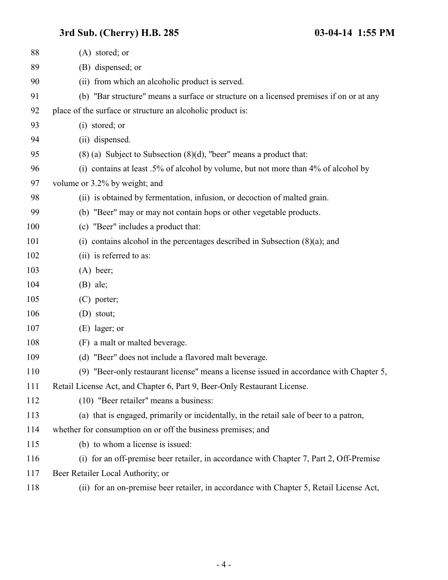| 88  | $(A)$ stored; or                                                                        |
|-----|-----------------------------------------------------------------------------------------|
| 89  | (B) dispensed; or                                                                       |
| 90  | (ii) from which an alcoholic product is served.                                         |
| 91  | (b) "Bar structure" means a surface or structure on a licensed premises if on or at any |
| 92  | place of the surface or structure an alcoholic product is:                              |
| 93  | (i) stored; or                                                                          |
| 94  | (ii) dispensed.                                                                         |
| 95  | $(8)$ (a) Subject to Subsection $(8)(d)$ , "beer" means a product that:                 |
| 96  | (i) contains at least .5% of alcohol by volume, but not more than 4% of alcohol by      |
| 97  | volume or 3.2% by weight; and                                                           |
| 98  | (ii) is obtained by fermentation, infusion, or decoction of malted grain.               |
| 99  | (b) "Beer" may or may not contain hops or other vegetable products.                     |
| 100 | (c) "Beer" includes a product that:                                                     |
| 101 | (i) contains alcohol in the percentages described in Subsection $(8)(a)$ ; and          |
| 102 | (ii) is referred to as:                                                                 |
| 103 | $(A)$ beer;                                                                             |
| 104 | $(B)$ ale;                                                                              |
| 105 | $(C)$ porter;                                                                           |
| 106 | (D) stout;                                                                              |
| 107 | (E) lager; or                                                                           |
| 108 | (F) a malt or malted beverage.                                                          |
| 109 | (d) "Beer" does not include a flavored malt beverage.                                   |
| 110 | (9) "Beer-only restaurant license" means a license issued in accordance with Chapter 5, |
| 111 | Retail License Act, and Chapter 6, Part 9, Beer-Only Restaurant License.                |
| 112 | (10) "Beer retailer" means a business:                                                  |
| 113 | (a) that is engaged, primarily or incidentally, in the retail sale of beer to a patron, |
| 114 | whether for consumption on or off the business premises; and                            |
| 115 | (b) to whom a license is issued:                                                        |
| 116 | (i) for an off-premise beer retailer, in accordance with Chapter 7, Part 2, Off-Premise |
| 117 | Beer Retailer Local Authority; or                                                       |
| 118 | (ii) for an on-premise beer retailer, in accordance with Chapter 5, Retail License Act, |
|     |                                                                                         |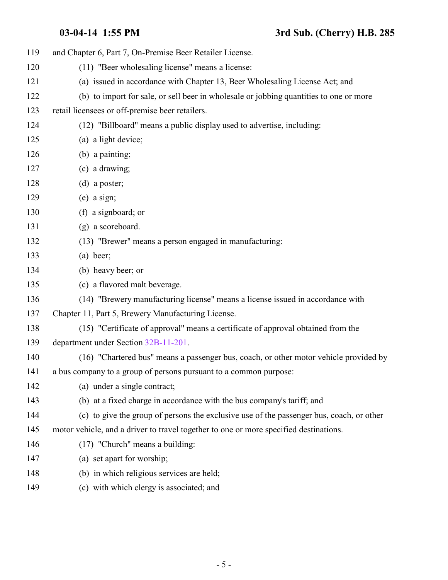| 119 | and Chapter 6, Part 7, On-Premise Beer Retailer License.                                 |
|-----|------------------------------------------------------------------------------------------|
| 120 | (11) "Beer wholesaling license" means a license:                                         |
| 121 | (a) issued in accordance with Chapter 13, Beer Wholesaling License Act; and              |
| 122 | (b) to import for sale, or sell beer in wholesale or jobbing quantities to one or more   |
| 123 | retail licensees or off-premise beer retailers.                                          |
| 124 | (12) "Billboard" means a public display used to advertise, including:                    |
| 125 | (a) a light device;                                                                      |
| 126 | (b) a painting;                                                                          |
| 127 | (c) a drawing;                                                                           |
| 128 | $(d)$ a poster;                                                                          |
| 129 | $(e)$ a sign;                                                                            |
| 130 | (f) a signboard; or                                                                      |
| 131 | (g) a scoreboard.                                                                        |
| 132 | (13) "Brewer" means a person engaged in manufacturing:                                   |
| 133 | $(a)$ beer;                                                                              |
| 134 | (b) heavy beer; or                                                                       |
| 135 | (c) a flavored malt beverage.                                                            |
| 136 | (14) "Brewery manufacturing license" means a license issued in accordance with           |
| 137 | Chapter 11, Part 5, Brewery Manufacturing License.                                       |
| 138 | (15) "Certificate of approval" means a certificate of approval obtained from the         |
| 139 | department under Section 32B-11-201.                                                     |
| 140 | (16) "Chartered bus" means a passenger bus, coach, or other motor vehicle provided by    |
| 141 | a bus company to a group of persons pursuant to a common purpose:                        |
| 142 | (a) under a single contract;                                                             |
| 143 | (b) at a fixed charge in accordance with the bus company's tariff; and                   |
| 144 | (c) to give the group of persons the exclusive use of the passenger bus, coach, or other |
| 145 | motor vehicle, and a driver to travel together to one or more specified destinations.    |
| 146 | (17) "Church" means a building:                                                          |
| 147 | (a) set apart for worship;                                                               |
| 148 | (b) in which religious services are held;                                                |
| 149 | (c) with which clergy is associated; and                                                 |
|     |                                                                                          |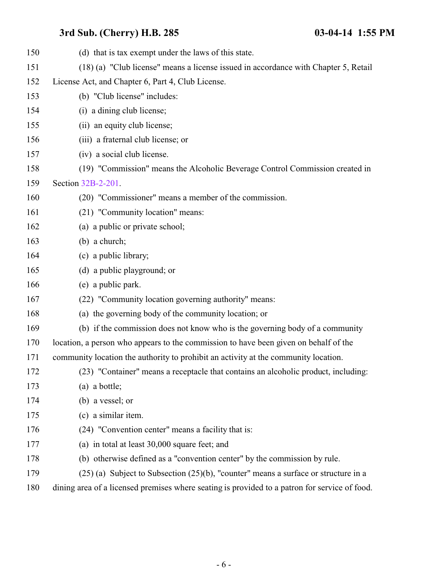| 150 | (d) that is tax exempt under the laws of this state.                                          |
|-----|-----------------------------------------------------------------------------------------------|
| 151 | (18) (a) "Club license" means a license issued in accordance with Chapter 5, Retail           |
| 152 | License Act, and Chapter 6, Part 4, Club License.                                             |
| 153 | (b) "Club license" includes:                                                                  |
| 154 | (i) a dining club license;                                                                    |
| 155 | (ii) an equity club license;                                                                  |
| 156 | (iii) a fraternal club license; or                                                            |
| 157 | (iv) a social club license.                                                                   |
| 158 | (19) "Commission" means the Alcoholic Beverage Control Commission created in                  |
| 159 | Section 32B-2-201.                                                                            |
| 160 | (20) "Commissioner" means a member of the commission.                                         |
| 161 | (21) "Community location" means:                                                              |
| 162 | (a) a public or private school;                                                               |
| 163 | $(b)$ a church;                                                                               |
| 164 | (c) a public library;                                                                         |
| 165 | (d) a public playground; or                                                                   |
| 166 | (e) a public park.                                                                            |
| 167 | (22) "Community location governing authority" means:                                          |
| 168 | (a) the governing body of the community location; or                                          |
| 169 | (b) if the commission does not know who is the governing body of a community                  |
| 170 | location, a person who appears to the commission to have been given on behalf of the          |
| 171 | community location the authority to prohibit an activity at the community location.           |
| 172 | (23) "Container" means a receptacle that contains an alcoholic product, including:            |
| 173 | $(a)$ a bottle;                                                                               |
| 174 | (b) a vessel; or                                                                              |
| 175 | (c) a similar item.                                                                           |
| 176 | (24) "Convention center" means a facility that is:                                            |
| 177 | (a) in total at least 30,000 square feet; and                                                 |
| 178 | (b) otherwise defined as a "convention center" by the commission by rule.                     |
| 179 | $(25)$ (a) Subject to Subsection $(25)(b)$ , "counter" means a surface or structure in a      |
| 180 | dining area of a licensed premises where seating is provided to a patron for service of food. |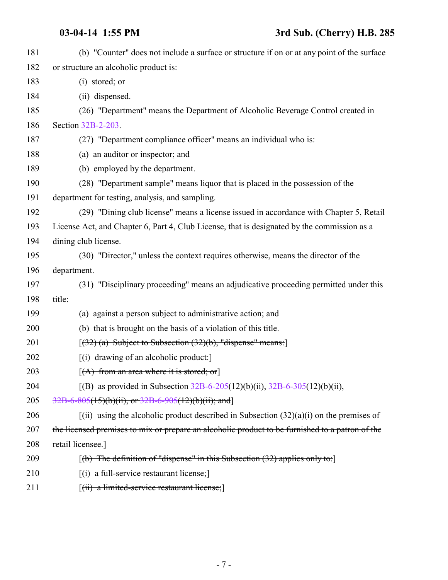| 181 | (b) "Counter" does not include a surface or structure if on or at any point of the surface      |
|-----|-------------------------------------------------------------------------------------------------|
| 182 | or structure an alcoholic product is:                                                           |
| 183 | (i) stored; or                                                                                  |
| 184 | (ii) dispensed.                                                                                 |
| 185 | (26) "Department" means the Department of Alcoholic Beverage Control created in                 |
| 186 | Section 32B-2-203.                                                                              |
| 187 | (27) "Department compliance officer" means an individual who is:                                |
| 188 | (a) an auditor or inspector; and                                                                |
| 189 | (b) employed by the department.                                                                 |
| 190 | (28) "Department sample" means liquor that is placed in the possession of the                   |
| 191 | department for testing, analysis, and sampling.                                                 |
| 192 | (29) "Dining club license" means a license issued in accordance with Chapter 5, Retail          |
| 193 | License Act, and Chapter 6, Part 4, Club License, that is designated by the commission as a     |
| 194 | dining club license.                                                                            |
| 195 | (30) "Director," unless the context requires otherwise, means the director of the               |
| 196 | department.                                                                                     |
| 197 | (31) "Disciplinary proceeding" means an adjudicative proceeding permitted under this            |
| 198 | title:                                                                                          |
| 199 | (a) against a person subject to administrative action; and                                      |
| 200 | (b) that is brought on the basis of a violation of this title.                                  |
| 201 | $[(32)$ (a) Subject to Subsection $(32)(b)$ , "dispense" means:                                 |
| 202 | $[(i)$ drawing of an alcoholic product:                                                         |
| 203 | $[(A)$ from an area where it is stored; or                                                      |
| 204 | [(B) as provided in Subsection $32B-6-205(12)(b)(ii)$ , $32B-6-305(12)(b)(ii)$ ,                |
| 205 | $32B-6-805(15)(b)(ii)$ , or $32B-6-905(12)(b)(ii)$ ; and                                        |
| 206 | $f(ii)$ using the alcoholic product described in Subsection $(32)(a)(i)$ on the premises of     |
| 207 | the licensed premises to mix or prepare an alcoholic product to be furnished to a patron of the |
| 208 | retail licensee.                                                                                |
| 209 | $[$ (b) The definition of "dispense" in this Subsection $(32)$ applies only to:                 |
| 210 | $[(i)$ a full-service restaurant license;                                                       |
|     |                                                                                                 |

211 [(ii) a limited-service restaurant license;]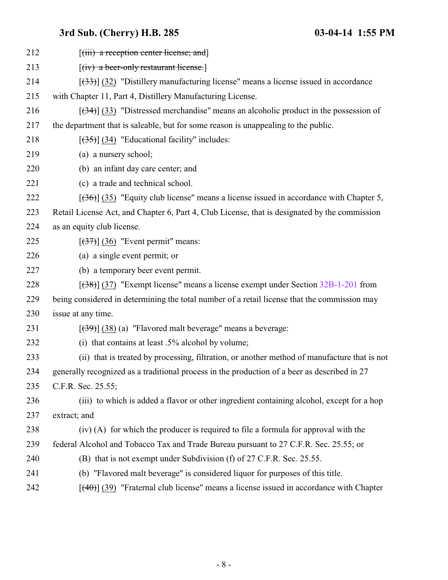| 212 | $[$ (iii) a reception center license; and $]$                                                    |
|-----|--------------------------------------------------------------------------------------------------|
| 213 | $[(iv)$ a beer-only restaurant license.]                                                         |
| 214 | $[333]$ (32) "Distillery manufacturing license" means a license issued in accordance             |
| 215 | with Chapter 11, Part 4, Distillery Manufacturing License.                                       |
| 216 | $[34]$ (33) "Distressed merchandise" means an alcoholic product in the possession of             |
| 217 | the department that is saleable, but for some reason is unappealing to the public.               |
| 218 | $[35]$ (34) "Educational facility" includes:                                                     |
| 219 | (a) a nursery school;                                                                            |
| 220 | (b) an infant day care center; and                                                               |
| 221 | (c) a trade and technical school.                                                                |
| 222 | $[36]$ (35) "Equity club license" means a license issued in accordance with Chapter 5,           |
| 223 | Retail License Act, and Chapter 6, Part 4, Club License, that is designated by the commission    |
| 224 | as an equity club license.                                                                       |
| 225 | $[37]$ (36) "Event permit" means:                                                                |
| 226 | (a) a single event permit; or                                                                    |
| 227 | (b) a temporary beer event permit.                                                               |
| 228 | $[38]$ (37) "Exempt license" means a license exempt under Section 32B-1-201 from                 |
| 229 | being considered in determining the total number of a retail license that the commission may     |
| 230 | issue at any time.                                                                               |
| 231 | $[39]$ (38) (a) "Flavored malt beverage" means a beverage:                                       |
| 232 | (i) that contains at least $.5\%$ alcohol by volume;                                             |
| 233 | (ii) that is treated by processing, filtration, or another method of manufacture that is not     |
| 234 | generally recognized as a traditional process in the production of a beer as described in 27     |
| 235 | C.F.R. Sec. 25.55;                                                                               |
| 236 | (iii) to which is added a flavor or other ingredient containing alcohol, except for a hop        |
| 237 | extract; and                                                                                     |
| 238 | (iv) (A) for which the producer is required to file a formula for approval with the              |
| 239 | federal Alcohol and Tobacco Tax and Trade Bureau pursuant to 27 C.F.R. Sec. 25.55; or            |
| 240 | (B) that is not exempt under Subdivision (f) of 27 C.F.R. Sec. 25.55.                            |
| 241 | (b) "Flavored malt beverage" is considered liquor for purposes of this title.                    |
| 242 | $[\frac{(40)}{(39)}]$ "Fraternal club license" means a license issued in accordance with Chapter |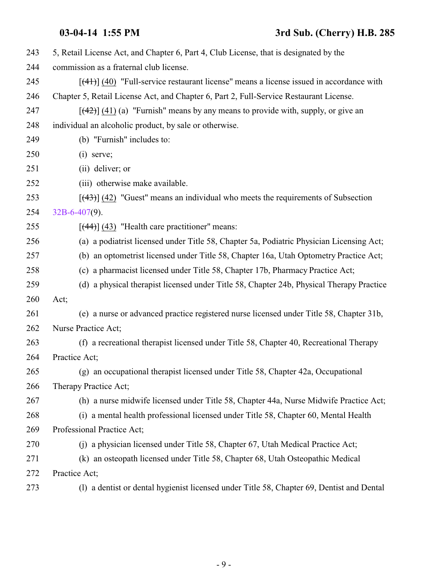| 243 | 5, Retail License Act, and Chapter 6, Part 4, Club License, that is designated by the      |
|-----|--------------------------------------------------------------------------------------------|
| 244 | commission as a fraternal club license.                                                    |
| 245 | $[$ (41)] (40) "Full-service restaurant license" means a license issued in accordance with |
| 246 | Chapter 5, Retail License Act, and Chapter 6, Part 2, Full-Service Restaurant License.     |
| 247 | $[$ (42)] (41) (a) "Furnish" means by any means to provide with, supply, or give an        |
| 248 | individual an alcoholic product, by sale or otherwise.                                     |
| 249 | (b) "Furnish" includes to:                                                                 |
| 250 | $(i)$ serve;                                                                               |
| 251 | (ii) deliver; or                                                                           |
| 252 | (iii) otherwise make available.                                                            |
| 253 | $[$ (43)] (42) "Guest" means an individual who meets the requirements of Subsection        |
| 254 | $32B-6-407(9)$ .                                                                           |
| 255 | $[$ (44)] (43) "Health care practitioner" means:                                           |
| 256 | (a) a podiatrist licensed under Title 58, Chapter 5a, Podiatric Physician Licensing Act;   |
| 257 | (b) an optometrist licensed under Title 58, Chapter 16a, Utah Optometry Practice Act;      |
| 258 | (c) a pharmacist licensed under Title 58, Chapter 17b, Pharmacy Practice Act;              |
| 259 | (d) a physical therapist licensed under Title 58, Chapter 24b, Physical Therapy Practice   |
| 260 | Act;                                                                                       |
| 261 | (e) a nurse or advanced practice registered nurse licensed under Title 58, Chapter 31b,    |
| 262 | Nurse Practice Act;                                                                        |
| 263 | (f) a recreational therapist licensed under Title 58, Chapter 40, Recreational Therapy     |
| 264 | Practice Act;                                                                              |
| 265 | (g) an occupational therapist licensed under Title 58, Chapter 42a, Occupational           |
| 266 | Therapy Practice Act;                                                                      |
| 267 | (h) a nurse midwife licensed under Title 58, Chapter 44a, Nurse Midwife Practice Act;      |
| 268 | (i) a mental health professional licensed under Title 58, Chapter 60, Mental Health        |
| 269 | Professional Practice Act;                                                                 |
| 270 | (j) a physician licensed under Title 58, Chapter 67, Utah Medical Practice Act;            |
| 271 | (k) an osteopath licensed under Title 58, Chapter 68, Utah Osteopathic Medical             |
| 272 | Practice Act;                                                                              |
| 273 | (1) a dentist or dental hygienist licensed under Title 58, Chapter 69, Dentist and Dental  |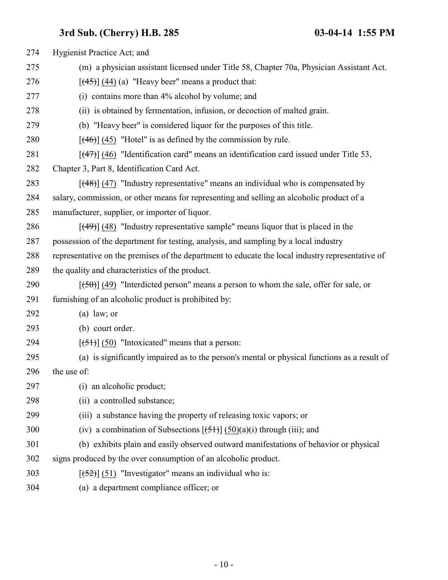| 274 | Hygienist Practice Act; and                                                                      |
|-----|--------------------------------------------------------------------------------------------------|
| 275 | (m) a physician assistant licensed under Title 58, Chapter 70a, Physician Assistant Act.         |
| 276 | $[$ (44) (44) (a) "Heavy beer" means a product that:                                             |
| 277 | (i) contains more than 4% alcohol by volume; and                                                 |
| 278 | (ii) is obtained by fermentation, infusion, or decoction of malted grain.                        |
| 279 | (b) "Heavy beer" is considered liquor for the purposes of this title.                            |
| 280 | $[$ (46)] (45) "Hotel" is as defined by the commission by rule.                                  |
| 281 | $[$ (47) $]$ (46) "Identification card" means an identification card issued under Title 53,      |
| 282 | Chapter 3, Part 8, Identification Card Act.                                                      |
| 283 | $[$ (48)] (47) "Industry representative" means an individual who is compensated by               |
| 284 | salary, commission, or other means for representing and selling an alcoholic product of a        |
| 285 | manufacturer, supplier, or importer of liquor.                                                   |
| 286 | $[$ (49)] (48) "Industry representative sample" means liquor that is placed in the               |
| 287 | possession of the department for testing, analysis, and sampling by a local industry             |
| 288 | representative on the premises of the department to educate the local industry representative of |
| 289 | the quality and characteristics of the product.                                                  |
| 290 | $[50]$ (49) "Interdicted person" means a person to whom the sale, offer for sale, or             |
| 291 | furnishing of an alcoholic product is prohibited by:                                             |
| 292 | $(a)$ law; or                                                                                    |
| 293 | (b) court order.                                                                                 |
| 294 | $[ (51) ] (50)$ "Intoxicated" means that a person:                                               |
| 295 | (a) is significantly impaired as to the person's mental or physical functions as a result of     |
| 296 | the use of:                                                                                      |
| 297 | (i) an alcoholic product;                                                                        |
| 298 | (ii) a controlled substance;                                                                     |
| 299 | (iii) a substance having the property of releasing toxic vapors; or                              |
| 300 | (iv) a combination of Subsections $[\frac{51}{3}]$ (50)(a)(i) through (iii); and                 |
| 301 | (b) exhibits plain and easily observed outward manifestations of behavior or physical            |
| 302 | signs produced by the over consumption of an alcoholic product.                                  |
| 303 | $[52]$ (51) "Investigator" means an individual who is:                                           |
| 304 | (a) a department compliance officer; or                                                          |
|     |                                                                                                  |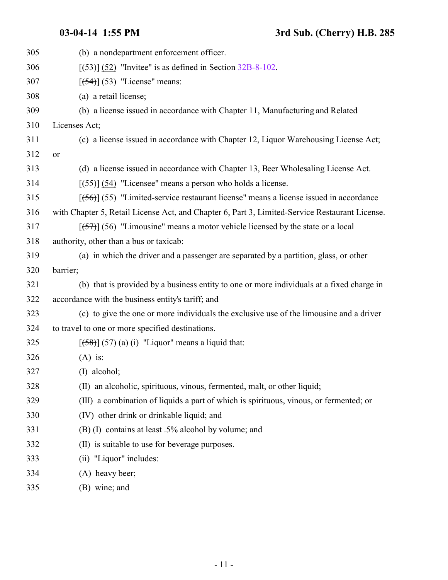| 305 | (b) a nondepartment enforcement officer.                                                       |
|-----|------------------------------------------------------------------------------------------------|
| 306 | $[\frac{53}{3}]$ (52) "Invitee" is as defined in Section 32B-8-102.                            |
| 307 | $[\left(54\right)]$ (53) "License" means:                                                      |
| 308 | (a) a retail license;                                                                          |
| 309 | (b) a license issued in accordance with Chapter 11, Manufacturing and Related                  |
| 310 | Licenses Act;                                                                                  |
| 311 | (c) a license issued in accordance with Chapter 12, Liquor Warehousing License Act;            |
| 312 | or                                                                                             |
| 313 | (d) a license issued in accordance with Chapter 13, Beer Wholesaling License Act.              |
| 314 | $[ (55) ]$ (54) "Licensee" means a person who holds a license.                                 |
| 315 | $[ (56) ]$ (55) "Limited-service restaurant license" means a license issued in accordance      |
| 316 | with Chapter 5, Retail License Act, and Chapter 6, Part 3, Limited-Service Restaurant License. |
| 317 | $[57]$ (56) "Limousine" means a motor vehicle licensed by the state or a local                 |
| 318 | authority, other than a bus or taxicab:                                                        |
| 319 | (a) in which the driver and a passenger are separated by a partition, glass, or other          |
| 320 | barrier;                                                                                       |
| 321 | (b) that is provided by a business entity to one or more individuals at a fixed charge in      |
| 322 | accordance with the business entity's tariff; and                                              |
| 323 | (c) to give the one or more individuals the exclusive use of the limousine and a driver        |
| 324 | to travel to one or more specified destinations.                                               |
| 325 | $[58] (57) (a) (i)$ "Liquor" means a liquid that:                                              |
| 326 | $(A)$ is:                                                                                      |
| 327 | $(I)$ alcohol;                                                                                 |
| 328 | (II) an alcoholic, spirituous, vinous, fermented, malt, or other liquid;                       |
| 329 | (III) a combination of liquids a part of which is spirituous, vinous, or fermented; or         |
| 330 | (IV) other drink or drinkable liquid; and                                                      |
| 331 | (B) (I) contains at least .5% alcohol by volume; and                                           |
| 332 | is suitable to use for beverage purposes.<br>(II)                                              |
| 333 | (ii) "Liquor" includes:                                                                        |
| 334 | (A) heavy beer;                                                                                |
| 335 | (B) wine; and                                                                                  |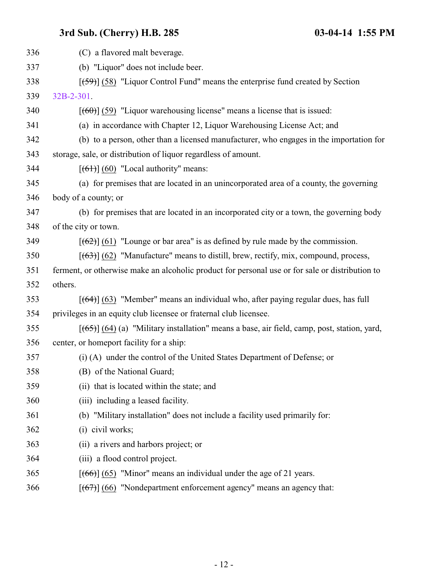| 336 | (C) a flavored malt beverage.                                                                   |
|-----|-------------------------------------------------------------------------------------------------|
| 337 | (b) "Liquor" does not include beer.                                                             |
| 338 | $[59]$ (58) "Liquor Control Fund" means the enterprise fund created by Section                  |
| 339 | 32B-2-301.                                                                                      |
| 340 | $[60]$ (59) "Liquor warehousing license" means a license that is issued:                        |
| 341 | (a) in accordance with Chapter 12, Liquor Warehousing License Act; and                          |
| 342 | (b) to a person, other than a licensed manufacturer, who engages in the importation for         |
| 343 | storage, sale, or distribution of liquor regardless of amount.                                  |
| 344 | $[66]$ (60) "Local authority" means:                                                            |
| 345 | (a) for premises that are located in an unincorporated area of a county, the governing          |
| 346 | body of a county; or                                                                            |
| 347 | (b) for premises that are located in an incorporated city or a town, the governing body         |
| 348 | of the city or town.                                                                            |
| 349 | $[62]$ (61) "Lounge or bar area" is as defined by rule made by the commission.                  |
| 350 | $[ (63) ]$ (62) "Manufacture" means to distill, brew, rectify, mix, compound, process,          |
| 351 | ferment, or otherwise make an alcoholic product for personal use or for sale or distribution to |
| 352 | others.                                                                                         |
| 353 | $[ (64) ] (63)$ "Member" means an individual who, after paying regular dues, has full           |
| 354 | privileges in an equity club licensee or fraternal club licensee.                               |
| 355 | $[ (65) ] (64)$ (a) "Military installation" means a base, air field, camp, post, station, yard, |
| 356 | center, or homeport facility for a ship:                                                        |
| 357 | (i) (A) under the control of the United States Department of Defense; or                        |
| 358 | (B) of the National Guard;                                                                      |
| 359 | (ii) that is located within the state; and                                                      |
| 360 | (iii) including a leased facility.                                                              |
| 361 | (b) "Military installation" does not include a facility used primarily for:                     |
| 362 | $(i)$ civil works;                                                                              |
| 363 | (ii) a rivers and harbors project; or                                                           |
| 364 | (iii) a flood control project.                                                                  |
| 365 | $[ (66) ] (65)$ "Minor" means an individual under the age of 21 years.                          |
| 366 | $[ (67) ] (66)$ "Nondepartment enforcement agency" means an agency that:                        |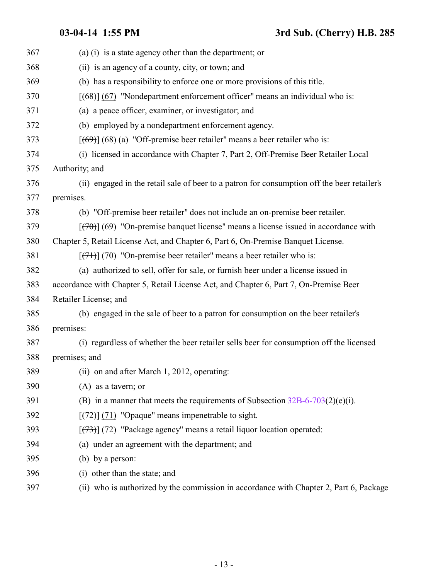| 367 | (a) (i) is a state agency other than the department; or                                     |
|-----|---------------------------------------------------------------------------------------------|
| 368 | (ii) is an agency of a county, city, or town; and                                           |
| 369 | (b) has a responsibility to enforce one or more provisions of this title.                   |
| 370 | $[ (68) ] (67)$ "Nondepartment enforcement officer" means an individual who is:             |
| 371 | (a) a peace officer, examiner, or investigator; and                                         |
| 372 | (b) employed by a nondepartment enforcement agency.                                         |
| 373 | $[ (69) ] (68)$ (a) "Off-premise beer retailer" means a beer retailer who is:               |
| 374 | (i) licensed in accordance with Chapter 7, Part 2, Off-Premise Beer Retailer Local          |
| 375 | Authority; and                                                                              |
| 376 | (ii) engaged in the retail sale of beer to a patron for consumption off the beer retailer's |
| 377 | premises.                                                                                   |
| 378 | (b) "Off-premise beer retailer" does not include an on-premise beer retailer.               |
| 379 | $[$ (470)] (69) "On-premise banquet license" means a license issued in accordance with      |
| 380 | Chapter 5, Retail License Act, and Chapter 6, Part 6, On-Premise Banquet License.           |
| 381 | $[\frac{(7+)}{(7+)}]$ (70) "On-premise beer retailer" means a beer retailer who is:         |
| 382 | (a) authorized to sell, offer for sale, or furnish beer under a license issued in           |
| 383 | accordance with Chapter 5, Retail License Act, and Chapter 6, Part 7, On-Premise Beer       |
| 384 | Retailer License; and                                                                       |
| 385 | (b) engaged in the sale of beer to a patron for consumption on the beer retailer's          |
| 386 | premises:                                                                                   |
| 387 | (i) regardless of whether the beer retailer sells beer for consumption off the licensed     |
| 388 | premises; and                                                                               |
| 389 | (ii) on and after March 1, 2012, operating:                                                 |
| 390 | $(A)$ as a tavern; or                                                                       |
| 391 | (B) in a manner that meets the requirements of Subsection $32B-6-703(2)(e)(i)$ .            |
| 392 | $[\frac{72}{2}]$ (71) "Opaque" means impenetrable to sight.                                 |
| 393 | [(73)] (72) "Package agency" means a retail liquor location operated:                       |
| 394 | (a) under an agreement with the department; and                                             |
| 395 | (b) by a person:                                                                            |
| 396 | (i) other than the state; and                                                               |
| 397 | (ii) who is authorized by the commission in accordance with Chapter 2, Part 6, Package      |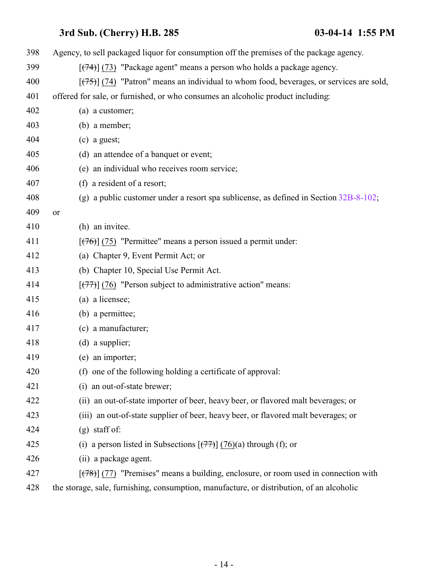| 398 | Agency, to sell packaged liquor for consumption off the premises of the package agency.     |
|-----|---------------------------------------------------------------------------------------------|
| 399 | $[\frac{(74)}{(73)}]$ "Package agent" means a person who holds a package agency.            |
| 400 | $[ (75) ]$ (74) "Patron" means an individual to whom food, beverages, or services are sold, |
| 401 | offered for sale, or furnished, or who consumes an alcoholic product including:             |
| 402 | (a) a customer;                                                                             |
| 403 | (b) a member;                                                                               |
| 404 | $(c)$ a guest;                                                                              |
| 405 | (d) an attendee of a banquet or event;                                                      |
| 406 | (e) an individual who receives room service;                                                |
| 407 | (f) a resident of a resort;                                                                 |
| 408 | (g) a public customer under a resort spa sublicense, as defined in Section $32B-8-102$ ;    |
| 409 | or                                                                                          |
| 410 | (h) an invitee.                                                                             |
| 411 | $[ (76) ]$ (75) "Permittee" means a person issued a permit under:                           |
| 412 | (a) Chapter 9, Event Permit Act; or                                                         |
| 413 | (b) Chapter 10, Special Use Permit Act.                                                     |
| 414 | $[ (77) ]$ (76) "Person subject to administrative action" means:                            |
| 415 | (a) a licensee;                                                                             |
| 416 | (b) a permittee;                                                                            |
| 417 | (c) a manufacturer;                                                                         |
| 418 | (d) a supplier;                                                                             |
| 419 | (e) an importer;                                                                            |
| 420 | (f) one of the following holding a certificate of approval:                                 |
| 421 | (i) an out-of-state brewer;                                                                 |
| 422 | (ii) an out-of-state importer of beer, heavy beer, or flavored malt beverages; or           |
| 423 | (iii) an out-of-state supplier of beer, heavy beer, or flavored malt beverages; or          |
| 424 | $(g)$ staff of:                                                                             |
| 425 | (i) a person listed in Subsections $[\overline{77}](76)(a)$ through (f); or                 |
| 426 | (ii) a package agent.                                                                       |
| 427 | $[ (78) ]$ (77) "Premises" means a building, enclosure, or room used in connection with     |
| 428 | the storage, sale, furnishing, consumption, manufacture, or distribution, of an alcoholic   |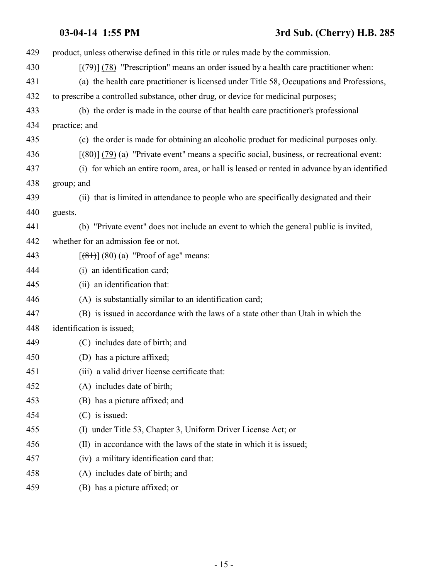# **03-04-14 1:55 PM 3rd Sub. (Cherry) H.B. 285**

| 429 | product, unless otherwise defined in this title or rules made by the commission.             |
|-----|----------------------------------------------------------------------------------------------|
| 430 | $[$ (79) $]$ (78) "Prescription" means an order issued by a health care practitioner when:   |
| 431 | (a) the health care practitioner is licensed under Title 58, Occupations and Professions,    |
| 432 | to prescribe a controlled substance, other drug, or device for medicinal purposes;           |
| 433 | (b) the order is made in the course of that health care practitioner's professional          |
| 434 | practice; and                                                                                |
| 435 | (c) the order is made for obtaining an alcoholic product for medicinal purposes only.        |
| 436 | $[$ (80)] (79) (a) "Private event" means a specific social, business, or recreational event: |
| 437 | (i) for which an entire room, area, or hall is leased or rented in advance by an identified  |
| 438 | group; and                                                                                   |
| 439 | (ii) that is limited in attendance to people who are specifically designated and their       |
| 440 | guests.                                                                                      |
| 441 | (b) "Private event" does not include an event to which the general public is invited,        |
| 442 | whether for an admission fee or not.                                                         |
| 443 | $[ (81) ] (80) (a)$ "Proof of age" means:                                                    |
| 444 | (i) an identification card;                                                                  |
| 445 | (ii) an identification that:                                                                 |
| 446 | (A) is substantially similar to an identification card;                                      |
| 447 | (B) is issued in accordance with the laws of a state other than Utah in which the            |
| 448 | identification is issued;                                                                    |
| 449 | (C) includes date of birth; and                                                              |
| 450 | (D) has a picture affixed;                                                                   |
| 451 | (iii) a valid driver license certificate that:                                               |
| 452 | (A) includes date of birth;                                                                  |
| 453 | (B) has a picture affixed; and                                                               |
| 454 | (C) is issued:                                                                               |
| 455 | (I) under Title 53, Chapter 3, Uniform Driver License Act; or                                |
| 456 | (II) in accordance with the laws of the state in which it is issued;                         |
| 457 | (iv) a military identification card that:                                                    |
| 458 | (A) includes date of birth; and                                                              |
| 459 | (B) has a picture affixed; or                                                                |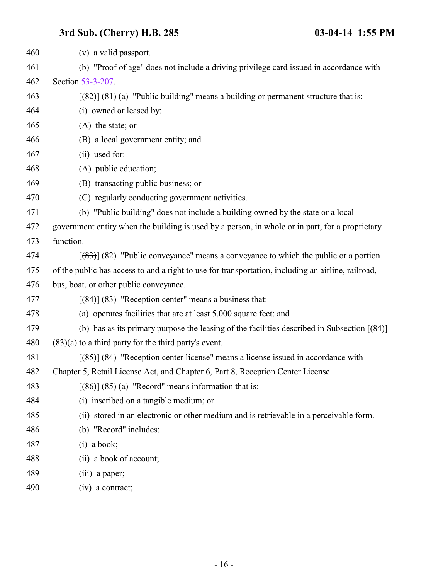| 460 | (v) a valid passport.                                                                              |
|-----|----------------------------------------------------------------------------------------------------|
| 461 | (b) "Proof of age" does not include a driving privilege card issued in accordance with             |
| 462 | Section 53-3-207.                                                                                  |
| 463 | $[$ (82)] (81) (a) "Public building" means a building or permanent structure that is:              |
| 464 | (i) owned or leased by:                                                                            |
| 465 | $(A)$ the state; or                                                                                |
| 466 | (B) a local government entity; and                                                                 |
| 467 | (ii) used for:                                                                                     |
| 468 | (A) public education;                                                                              |
| 469 | (B) transacting public business; or                                                                |
| 470 | (C) regularly conducting government activities.                                                    |
| 471 | (b) "Public building" does not include a building owned by the state or a local                    |
| 472 | government entity when the building is used by a person, in whole or in part, for a proprietary    |
| 473 | function.                                                                                          |
| 474 | $[$ (83) $]$ (82) "Public conveyance" means a conveyance to which the public or a portion          |
| 475 | of the public has access to and a right to use for transportation, including an airline, railroad, |
| 476 | bus, boat, or other public conveyance.                                                             |
| 477 | $[ (84) ]$ (83) "Reception center" means a business that:                                          |
| 478 | (a) operates facilities that are at least 5,000 square feet; and                                   |
| 479 | (b) has as its primary purpose the leasing of the facilities described in Subsection $[ (84) ]$    |
| 480 | $(83)(a)$ to a third party for the third party's event.                                            |
| 481 | $[ (85) ]$ (84) "Reception center license" means a license issued in accordance with               |
| 482 | Chapter 5, Retail License Act, and Chapter 6, Part 8, Reception Center License                     |
| 483 | $[ (86) ] (85)$ (a) "Record" means information that is:                                            |
| 484 | (i) inscribed on a tangible medium; or                                                             |
| 485 | (ii) stored in an electronic or other medium and is retrievable in a perceivable form.             |
| 486 | (b) "Record" includes:                                                                             |
| 487 | $(i)$ a book;                                                                                      |
| 488 | (ii) a book of account;                                                                            |
| 489 | (iii) a paper;                                                                                     |
| 490 | $(iv)$ a contract;                                                                                 |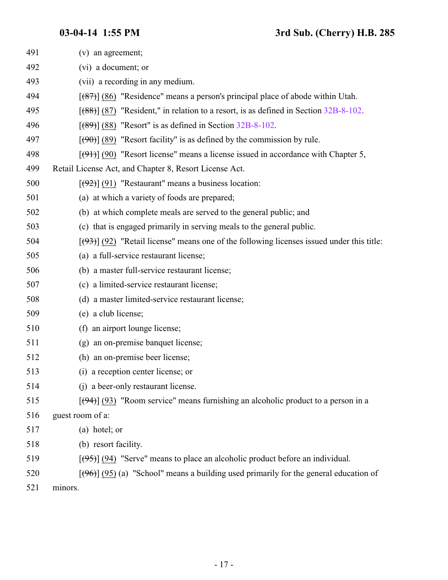| 491 | $(v)$ an agreement;                                                                                  |
|-----|------------------------------------------------------------------------------------------------------|
| 492 | (vi) a document; or                                                                                  |
| 493 | (vii) a recording in any medium.                                                                     |
| 494 | $[ (87) ]$ (86) "Residence" means a person's principal place of abode within Utah.                   |
| 495 | $[688]$ (87) "Resident," in relation to a resort, is as defined in Section 32B-8-102.                |
| 496 | $[ (89) ]$ (88) "Resort" is as defined in Section 32B-8-102.                                         |
| 497 | $[\left(\frac{90}{9}\right)]$ (89) "Resort facility" is as defined by the commission by rule.        |
| 498 | $[$ (91) (90) "Resort license" means a license issued in accordance with Chapter 5,                  |
| 499 | Retail License Act, and Chapter 8, Resort License Act.                                               |
| 500 | $[\frac{1}{2}]$ (91) "Restaurant" means a business location:                                         |
| 501 | (a) at which a variety of foods are prepared;                                                        |
| 502 | (b) at which complete meals are served to the general public; and                                    |
| 503 | (c) that is engaged primarily in serving meals to the general public.                                |
| 504 | $[ (93) ] (92)$ "Retail license" means one of the following licenses issued under this title:        |
| 505 | (a) a full-service restaurant license;                                                               |
| 506 | (b) a master full-service restaurant license;                                                        |
| 507 | (c) a limited-service restaurant license;                                                            |
| 508 | (d) a master limited-service restaurant license;                                                     |
| 509 | (e) a club license;                                                                                  |
| 510 | (f) an airport lounge license;                                                                       |
| 511 | (g) an on-premise banquet license;                                                                   |
| 512 | (h) an on-premise beer license;                                                                      |
| 513 | (i) a reception center license; or                                                                   |
| 514 | (i) a beer-only restaurant license.                                                                  |
| 515 | $[$ (94)] (93) "Room service" means furnishing an alcoholic product to a person in a                 |
| 516 | guest room of a:                                                                                     |
| 517 | (a) hotel; or                                                                                        |
| 518 | (b) resort facility.                                                                                 |
| 519 | $[ (95) ]$ (94) "Serve" means to place an alcoholic product before an individual.                    |
| 520 | $[\frac{(96)}{(95)}]$ (95) (a) "School" means a building used primarily for the general education of |
| 521 | minors.                                                                                              |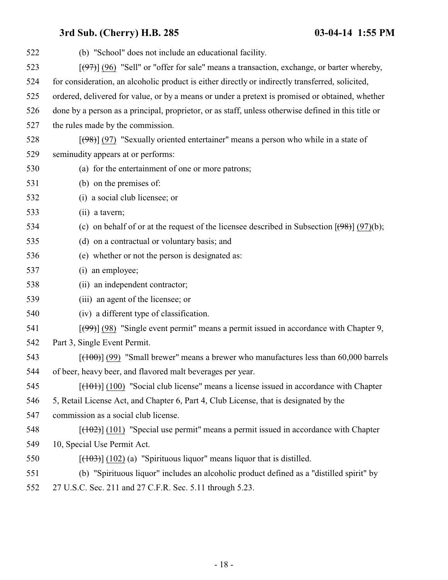| 522 | (b) "School" does not include an educational facility.                                                    |
|-----|-----------------------------------------------------------------------------------------------------------|
| 523 | $[ (97) ]$ (96) "Sell" or "offer for sale" means a transaction, exchange, or barter whereby,              |
| 524 | for consideration, an alcoholic product is either directly or indirectly transferred, solicited,          |
| 525 | ordered, delivered for value, or by a means or under a pretext is promised or obtained, whether           |
| 526 | done by a person as a principal, proprietor, or as staff, unless otherwise defined in this title or       |
| 527 | the rules made by the commission.                                                                         |
| 528 | $[ (98) ]$ (97) "Sexually oriented entertainer" means a person who while in a state of                    |
| 529 | seminudity appears at or performs:                                                                        |
| 530 | (a) for the entertainment of one or more patrons;                                                         |
| 531 | (b) on the premises of:                                                                                   |
| 532 | (i) a social club licensee; or                                                                            |
| 533 | (ii) a tavern;                                                                                            |
| 534 | (c) on behalf of or at the request of the licensee described in Subsection $[\frac{(98)}{(97)}]$ (97)(b); |
| 535 | (d) on a contractual or voluntary basis; and                                                              |
| 536 | (e) whether or not the person is designated as:                                                           |
| 537 | (i) an employee;                                                                                          |
| 538 | (ii) an independent contractor;                                                                           |
| 539 | (iii) an agent of the licensee; or                                                                        |
| 540 | (iv) a different type of classification.                                                                  |
| 541 | $[\frac{(99)}{(98)}]$ (98) "Single event permit" means a permit issued in accordance with Chapter 9,      |
| 542 | Part 3, Single Event Permit.                                                                              |
| 543 | $[ (100) ]$ (99) "Small brewer" means a brewer who manufactures less than 60,000 barrels                  |
| 544 | of beer, heavy beer, and flavored malt beverages per year.                                                |
| 545 | $[$ (101) $]$ (100) "Social club license" means a license issued in accordance with Chapter               |
| 546 | 5, Retail License Act, and Chapter 6, Part 4, Club License, that is designated by the                     |
| 547 | commission as a social club license.                                                                      |
| 548 | $[ (102) ] (101)$ "Special use permit" means a permit issued in accordance with Chapter                   |
| 549 | 10, Special Use Permit Act.                                                                               |
| 550 | $[(103)] (102)$ (a) "Spirituous liquor" means liquor that is distilled.                                   |
| 551 | (b) "Spirituous liquor" includes an alcoholic product defined as a "distilled spirit" by                  |
| 552 | 27 U.S.C. Sec. 211 and 27 C.F.R. Sec. 5.11 through 5.23.                                                  |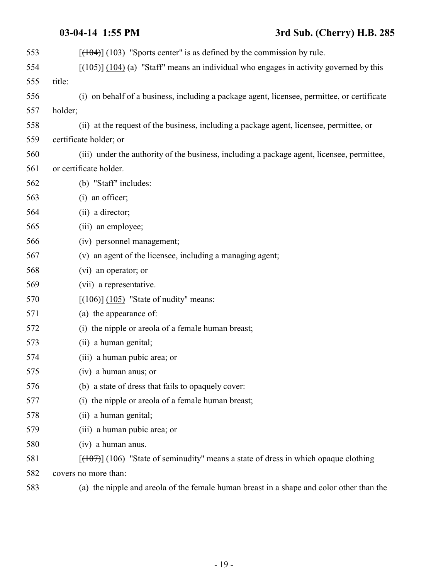# **03-04-14 1:55 PM 3rd Sub. (Cherry) H.B. 285**

| 553 | $[ (103)$ "Sports center" is as defined by the commission by rule.                               |
|-----|--------------------------------------------------------------------------------------------------|
| 554 | $[\frac{(105)}{(104)}]$ (a) "Staff" means an individual who engages in activity governed by this |
| 555 | title:                                                                                           |
| 556 | (i) on behalf of a business, including a package agent, licensee, permittee, or certificate      |
| 557 | holder;                                                                                          |
| 558 | (ii) at the request of the business, including a package agent, licensee, permittee, or          |
| 559 | certificate holder; or                                                                           |
| 560 | (iii) under the authority of the business, including a package agent, licensee, permittee,       |
| 561 | or certificate holder.                                                                           |
| 562 | (b) "Staff" includes:                                                                            |
| 563 | (i) an officer;                                                                                  |
| 564 | (ii) a director;                                                                                 |
| 565 | (iii) an employee;                                                                               |
| 566 | (iv) personnel management;                                                                       |
| 567 | (v) an agent of the licensee, including a managing agent;                                        |
| 568 | (vi) an operator; or                                                                             |
| 569 | (vii) a representative.                                                                          |
| 570 | $[ (106) ] (105)$ "State of nudity" means:                                                       |
| 571 | (a) the appearance of:                                                                           |
| 572 | (i) the nipple or areola of a female human breast;                                               |
| 573 | (ii) a human genital;                                                                            |
| 574 | (iii) a human pubic area; or                                                                     |
| 575 | (iv) a human anus; or                                                                            |
| 576 | (b) a state of dress that fails to opaquely cover:                                               |
| 577 | (i) the nipple or areola of a female human breast;                                               |
| 578 | (ii) a human genital;                                                                            |
| 579 | (iii) a human pubic area; or                                                                     |
| 580 | (iv) a human anus.                                                                               |
| 581 | $[(106)$ "State of seminudity" means a state of dress in which opaque clothing                   |
| 582 | covers no more than:                                                                             |
| 583 | (a) the nipple and areola of the female human breast in a shape and color other than the         |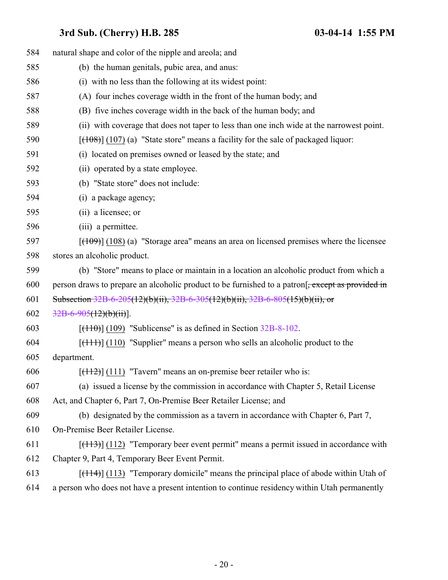| 584 | natural shape and color of the nipple and areola; and                                        |
|-----|----------------------------------------------------------------------------------------------|
| 585 | (b) the human genitals, pubic area, and anus:                                                |
| 586 | (i) with no less than the following at its widest point:                                     |
| 587 | (A) four inches coverage width in the front of the human body; and                           |
| 588 | (B) five inches coverage width in the back of the human body; and                            |
| 589 | (ii) with coverage that does not taper to less than one inch wide at the narrowest point.    |
| 590 | $[ (108) ] (107)$ (a) "State store" means a facility for the sale of packaged liquor:        |
| 591 | (i) located on premises owned or leased by the state; and                                    |
| 592 | (ii) operated by a state employee.                                                           |
| 593 | (b) "State store" does not include:                                                          |
| 594 | (i) a package agency;                                                                        |
| 595 | (ii) a licensee; or                                                                          |
| 596 | (iii) a permittee.                                                                           |
| 597 | $[ (109) ] (108)$ (a) "Storage area" means an area on licensed premises where the licensee   |
| 598 | stores an alcoholic product.                                                                 |
| 599 | (b) "Store" means to place or maintain in a location an alcoholic product from which a       |
| 600 | person draws to prepare an alcoholic product to be furnished to a patron.                    |
| 601 | Subsection $32B-6-205(12)(b)(ii)$ , $32B-6-305(12)(b)(ii)$ , $32B-6-805(15)(b)(ii)$ , or     |
| 602 | $32B-6-905(12)(b)(ii)$ .                                                                     |
| 603 | $[ (110) ] (109)$ "Sublicense" is as defined in Section 32B-8-102.                           |
| 604 | $[$ (110) "Supplier" means a person who sells an alcoholic product to the                    |
| 605 | department.                                                                                  |
| 606 | $[ (112) ]$ (111) "Tavern" means an on-premise beer retailer who is:                         |
| 607 | (a) issued a license by the commission in accordance with Chapter 5, Retail License          |
| 608 | Act, and Chapter 6, Part 7, On-Premise Beer Retailer License; and                            |
| 609 | (b) designated by the commission as a tavern in accordance with Chapter 6, Part 7,           |
| 610 | On-Premise Beer Retailer License.                                                            |
| 611 | $[ (112)$ "Temporary beer event permit" means a permit issued in accordance with             |
| 612 | Chapter 9, Part 4, Temporary Beer Event Permit.                                              |
| 613 | $[ (114) ]$ (113) "Temporary domicile" means the principal place of abode within Utah of     |
| 614 | a person who does not have a present intention to continue residency within Utah permanently |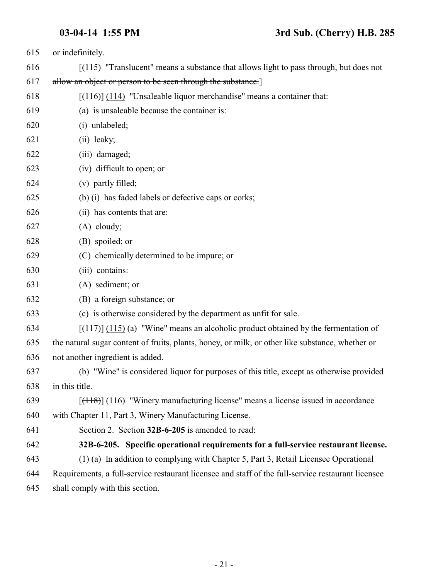<span id="page-20-0"></span>

| 615 | or indefinitely.                                                                                   |
|-----|----------------------------------------------------------------------------------------------------|
| 616 | $(115)$ "Translucent" means a substance that allows light to pass through, but does not            |
| 617 | allow an object or person to be seen through the substance.]                                       |
| 618 | $[(116)] (114)$ "Unsaleable liquor merchandise" means a container that:                            |
| 619 | (a) is unsaleable because the container is:                                                        |
| 620 | (i) unlabeled;                                                                                     |
| 621 | (ii) leaky;                                                                                        |
| 622 | (iii) damaged;                                                                                     |
| 623 | (iv) difficult to open; or                                                                         |
| 624 | (v) partly filled;                                                                                 |
| 625 | (b) (i) has faded labels or defective caps or corks;                                               |
| 626 | (ii) has contents that are:                                                                        |
| 627 | $(A)$ cloudy;                                                                                      |
| 628 | (B) spoiled; or                                                                                    |
| 629 | (C) chemically determined to be impure; or                                                         |
| 630 | (iii) contains:                                                                                    |
| 631 | (A) sediment; or                                                                                   |
| 632 | (B) a foreign substance; or                                                                        |
| 633 | (c) is otherwise considered by the department as unfit for sale.                                   |
| 634 | $[ (117) ]$ (115) (a) "Wine" means an alcoholic product obtained by the fermentation of            |
| 635 | the natural sugar content of fruits, plants, honey, or milk, or other like substance, whether or   |
| 636 | not another ingredient is added.                                                                   |
| 637 | (b) "Wine" is considered liquor for purposes of this title, except as otherwise provided           |
| 638 | in this title.                                                                                     |
| 639 | $[ (118) ]$ (116) "Winery manufacturing license" means a license issued in accordance              |
| 640 | with Chapter 11, Part 3, Winery Manufacturing License.                                             |
| 641 | Section 2. Section 32B-6-205 is amended to read:                                                   |
| 642 | 32B-6-205. Specific operational requirements for a full-service restaurant license.                |
| 643 | (1) (a) In addition to complying with Chapter 5, Part 3, Retail Licensee Operational               |
| 644 | Requirements, a full-service restaurant licensee and staff of the full-service restaurant licensee |
| 645 | shall comply with this section.                                                                    |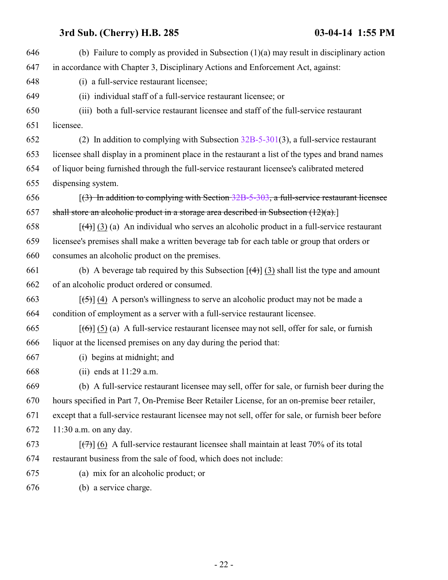| 646 | (b) Failure to comply as provided in Subsection $(1)(a)$ may result in disciplinary action                      |
|-----|-----------------------------------------------------------------------------------------------------------------|
| 647 | in accordance with Chapter 3, Disciplinary Actions and Enforcement Act, against:                                |
| 648 | (i) a full-service restaurant licensee;                                                                         |
| 649 | (ii) individual staff of a full-service restaurant licensee; or                                                 |
| 650 | (iii) both a full-service restaurant licensee and staff of the full-service restaurant                          |
| 651 | licensee.                                                                                                       |
| 652 | (2) In addition to complying with Subsection $32B-5-301(3)$ , a full-service restaurant                         |
| 653 | licensee shall display in a prominent place in the restaurant a list of the types and brand names               |
| 654 | of liquor being furnished through the full-service restaurant licensee's calibrated metered                     |
| 655 | dispensing system.                                                                                              |
| 656 | $(3)$ In addition to complying with Section 32B-5-303, a full-service restaurant licensee                       |
| 657 | shall store an alcoholic product in a storage area described in Subsection $(12)(a)$ .                          |
| 658 | $\left[\frac{4}{4}\right]$ (3) (a) An individual who serves an alcoholic product in a full-service restaurant   |
| 659 | licensee's premises shall make a written beverage tab for each table or group that orders or                    |
| 660 | consumes an alcoholic product on the premises.                                                                  |
| 661 | (b) A beverage tab required by this Subsection $\left[\left(4\right)\right]$ (3) shall list the type and amount |
| 662 | of an alcoholic product ordered or consumed.                                                                    |
| 663 | $[5]$ (4) A person's willingness to serve an alcoholic product may not be made a                                |
| 664 | condition of employment as a server with a full-service restaurant licensee.                                    |
| 665 | $[\text{6}]$ (5) (a) A full-service restaurant licensee may not sell, offer for sale, or furnish                |
| 666 | liquor at the licensed premises on any day during the period that:                                              |
| 667 | (i) begins at midnight; and                                                                                     |
| 668 | (ii) ends at $11:29$ a.m.                                                                                       |
| 669 | (b) A full-service restaurant licensee may sell, offer for sale, or furnish beer during the                     |
| 670 | hours specified in Part 7, On-Premise Beer Retailer License, for an on-premise beer retailer,                   |
| 671 | except that a full-service restaurant licensee may not sell, offer for sale, or furnish beer before             |
| 672 | $11:30$ a.m. on any day.                                                                                        |
| 673 | $\left[\frac{7}{7}\right]$ (6) A full-service restaurant licensee shall maintain at least 70% of its total      |
| 674 | restaurant business from the sale of food, which does not include:                                              |
| 675 | (a) mix for an alcoholic product; or                                                                            |
| 676 | (b) a service charge.                                                                                           |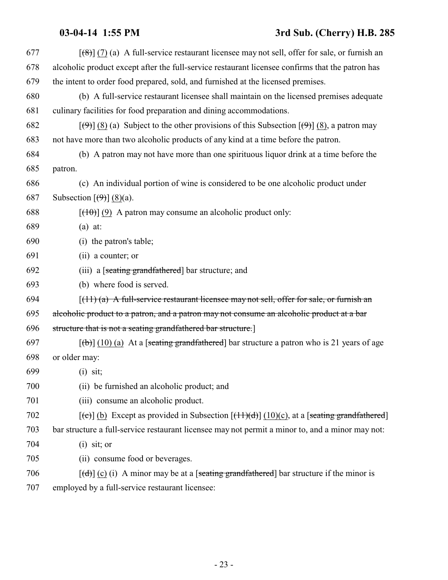## **03-04-14 1:55 PM 3rd Sub. (Cherry) H.B. 285**

| 677 | $\left[\frac{8}{8}\right]$ (7) (a) A full-service restaurant licensee may not sell, offer for sale, or furnish an                  |
|-----|------------------------------------------------------------------------------------------------------------------------------------|
| 678 | alcoholic product except after the full-service restaurant licensee confirms that the patron has                                   |
| 679 | the intent to order food prepared, sold, and furnished at the licensed premises.                                                   |
| 680 | (b) A full-service restaurant licensee shall maintain on the licensed premises adequate                                            |
| 681 | culinary facilities for food preparation and dining accommodations.                                                                |
| 682 | $[\langle 9 \rangle]$ (8) (a) Subject to the other provisions of this Subsection $[\langle 9 \rangle]$ (8), a patron may           |
| 683 | not have more than two alcoholic products of any kind at a time before the patron.                                                 |
| 684 | (b) A patron may not have more than one spirituous liquor drink at a time before the                                               |
| 685 | patron.                                                                                                                            |
| 686 | (c) An individual portion of wine is considered to be one alcoholic product under                                                  |
| 687 | Subsection $\left[\left(\frac{9}{2}\right)\right]$ (8)(a).                                                                         |
| 688 | $[\frac{(10)}{(9)}]$ (9) A patron may consume an alcoholic product only:                                                           |
| 689 | $(a)$ at:                                                                                                                          |
| 690 | (i) the patron's table;                                                                                                            |
| 691 | (ii) a counter; or                                                                                                                 |
| 692 | (iii) a [seating grandfathered] bar structure; and                                                                                 |
| 693 | (b) where food is served.                                                                                                          |
| 694 | $[(11)(a)$ A full-service restaurant licensee may not sell, offer for sale, or furnish an                                          |
| 695 | alcoholic product to a patron, and a patron may not consume an alcoholic product at a bar                                          |
| 696 | structure that is not a seating grandfathered bar structure.]                                                                      |
| 697 | $[\phi]$ (10) (a) At a [seating grandfathered] bar structure a patron who is 21 years of age                                       |
| 698 | or older may:                                                                                                                      |
| 699 | $(i)$ sit:                                                                                                                         |
| 700 | (ii) be furnished an alcoholic product; and                                                                                        |
| 701 | (iii) consume an alcoholic product.                                                                                                |
| 702 | $[\text{e}(\text{e})]$ (b) Except as provided in Subsection $[\text{f}(\text{f}(\text{f}))](10)(c)$ , at a [seating grandfathered] |
| 703 | bar structure a full-service restaurant licensee may not permit a minor to, and a minor may not:                                   |
| 704 | $(i)$ sit; or                                                                                                                      |
| 705 | (ii) consume food or beverages.                                                                                                    |
| 706 | $[\text{d}]}$ (c) (i) A minor may be at a [seating grandfathered] bar structure if the minor is                                    |
| 707 | employed by a full-service restaurant licensee:                                                                                    |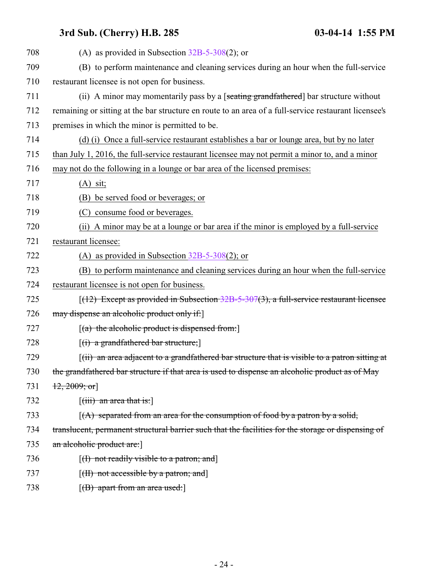| 708 | (A) as provided in Subsection $32B-5-308(2)$ ; or                                                     |
|-----|-------------------------------------------------------------------------------------------------------|
| 709 | (B) to perform maintenance and cleaning services during an hour when the full-service                 |
| 710 | restaurant licensee is not open for business.                                                         |
| 711 | (ii) A minor may momentarily pass by a [seating grandfathered] bar structure without                  |
| 712 | remaining or sitting at the bar structure en route to an area of a full-service restaurant licensee's |
| 713 | premises in which the minor is permitted to be.                                                       |
| 714 | (d) (i) Once a full-service restaurant establishes a bar or lounge area, but by no later              |
| 715 | than July 1, 2016, the full-service restaurant licensee may not permit a minor to, and a minor        |
| 716 | may not do the following in a lounge or bar area of the licensed premises:                            |
| 717 | $(A)$ sit;                                                                                            |
| 718 | (B) be served food or beverages; or                                                                   |
| 719 | (C) consume food or beverages.                                                                        |
| 720 | (ii) A minor may be at a lounge or bar area if the minor is employed by a full-service                |
| 721 | restaurant licensee:                                                                                  |
| 722 | (A) as provided in Subsection $32B-5-308(2)$ ; or                                                     |
| 723 | (B) to perform maintenance and cleaning services during an hour when the full-service                 |
| 724 | restaurant licensee is not open for business.                                                         |
| 725 | $[(12)$ Except as provided in Subsection 32B-5-307(3), a full-service restaurant licensee             |
| 726 | may dispense an alcoholic product only if:                                                            |
| 727 | $[(a)$ the alcoholic product is dispensed from:                                                       |
| 728 | $[(i)$ a grandfathered bar structure;                                                                 |
| 729 | $(iii)$ an area adjacent to a grandfathered bar structure that is visible to a patron sitting at      |
| 730 | the grandfathered bar structure if that area is used to dispense an alcoholic product as of May       |
| 731 | $\{12, 2009, \text{or}\}$                                                                             |
| 732 | $\left[$ (iii) an area that is: $\right]$                                                             |
| 733 | $(A)$ separated from an area for the consumption of food by a patron by a solid,                      |
| 734 | translucent, permanent structural barrier such that the facilities for the storage or dispensing of   |
| 735 | an alcoholic product are:                                                                             |
| 736 | $[(1)$ not readily visible to a patron; and                                                           |
| 737 | [(II) not accessible by a patron; and]                                                                |
| 738 | $[({\rm B})$ apart from an area used:                                                                 |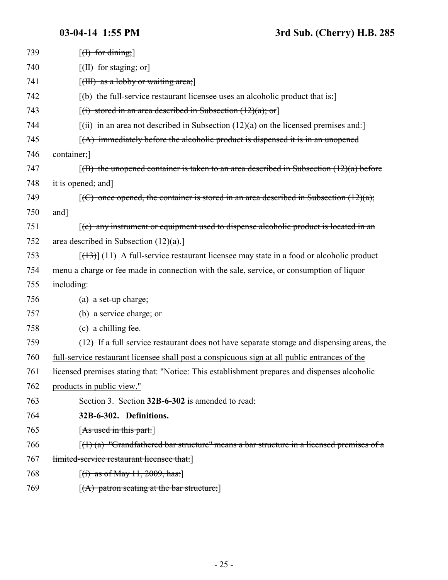<span id="page-24-0"></span>

| 739 | $[f]$ for dining;                                                                             |
|-----|-----------------------------------------------------------------------------------------------|
| 740 | $[\text{(H) for staging; or]$                                                                 |
| 741 | $[\text{(HH) as a hobby or waiting area}]$                                                    |
| 742 | $[16]$ the full-service restaurant licensee uses an alcoholic product that is:                |
| 743 | $[(i)$ stored in an area described in Subsection $(12)(a)$ ; or                               |
| 744 | $[(iii)$ in an area not described in Subsection $(12)(a)$ on the licensed premises and:       |
| 745 | $(A)$ immediately before the alcoholic product is dispensed it is in an unopened              |
| 746 | container;                                                                                    |
| 747 | $(6)$ the unopened container is taken to an area described in Subsection $(12)(a)$ before     |
| 748 | it is opened; and]                                                                            |
| 749 | $[(C)$ once opened, the container is stored in an area described in Subsection $(12)(a)$ ;    |
| 750 | $and$ ]                                                                                       |
| 751 | $(c)$ any instrument or equipment used to dispense alcoholic product is located in an         |
| 752 | area described in Subsection $(12)(a)$ .                                                      |
| 753 | $[$ (13) (11) A full-service restaurant licensee may state in a food or alcoholic product     |
| 754 | menu a charge or fee made in connection with the sale, service, or consumption of liquor      |
| 755 | including:                                                                                    |
| 756 | (a) a set-up charge;                                                                          |
| 757 | (b) a service charge; or                                                                      |
| 758 | (c) a chilling fee.                                                                           |
| 759 | (12) If a full service restaurant does not have separate storage and dispensing areas, the    |
| 760 | full-service restaurant licensee shall post a conspicuous sign at all public entrances of the |
| 761 | licensed premises stating that: "Notice: This establishment prepares and dispenses alcoholic  |
| 762 | products in public view."                                                                     |
| 763 | Section 3. Section 32B-6-302 is amended to read:                                              |
| 764 | 32B-6-302. Definitions.                                                                       |
| 765 | [As used in this part:]                                                                       |
| 766 | $(1)$ (a) "Grandfathered bar structure" means a bar structure in a licensed premises of a     |
| 767 | limited-service restaurant licensee that:                                                     |
| 768 | $[(i)$ as of May 11, 2009, has:                                                               |
| 769 | $[(A)$ patron seating at the bar structure;                                                   |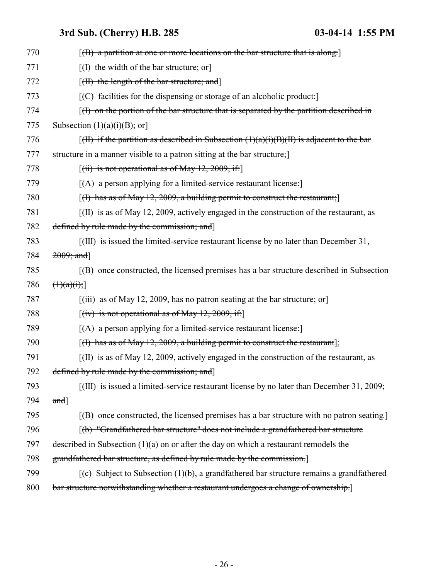| 770 | $[$ (B) a partition at one or more locations on the bar structure that is along:                                |
|-----|-----------------------------------------------------------------------------------------------------------------|
| 771 | $[f]$ the width of the bar structure; or                                                                        |
| 772 | $[({\rm H})$ the length of the bar structure; and                                                               |
| 773 | $[ (C)$ facilities for the dispensing or storage of an alcoholic product:                                       |
| 774 | $(f)$ on the portion of the bar structure that is separated by the partition described in                       |
| 775 | Subsection $(1)(a)(i)(B)$ ; or                                                                                  |
| 776 | $\left[\right(H\right)$ if the partition as described in Subsection $(1)(a)(i)(B)(H)$ is adjacent to the bar    |
| 777 | structure in a manner visible to a patron sitting at the bar structure;                                         |
| 778 | $[(ii)$ is not operational as of May 12, 2009, if:                                                              |
| 779 | $[(A)$ a person applying for a limited-service restaurant license:                                              |
| 780 | $[(1)$ has as of May 12, 2009, a building permit to construct the restaurant;                                   |
| 781 | $[f(H)$ is as of May 12, 2009, actively engaged in the construction of the restaurant, as                       |
| 782 | defined by rule made by the commission; and                                                                     |
| 783 | $\left[\right(\text{HH})\right]$ is issued the limited-service restaurant license by no later than December 31, |
| 784 | $2009;$ and]                                                                                                    |
| 785 | $(6)$ once constructed, the licensed premises has a bar structure described in Subsection                       |
| 786 | $\left(\frac{1}{a}(i)\right)$                                                                                   |
| 787 | $[(iii)$ as of May 12, 2009, has no patron seating at the bar structure; or                                     |
| 788 | $[(iv)$ is not operational as of May 12, 2009, if:                                                              |
| 789 | $[(A)$ a person applying for a limited-service restaurant license:                                              |
| 790 | $[(1)$ has as of May 12, 2009, a building permit to construct the restaurant];                                  |
| 791 | [(II) is as of May 12, 2009, actively engaged in the construction of the restaurant, as                         |
| 792 | defined by rule made by the commission; and                                                                     |
| 793 | $[({\text{HH}})$ is issued a limited-service restaurant license by no later than December 31, 2009;             |
| 794 | and]                                                                                                            |
| 795 | $[$ (B) once constructed, the licensed premises has a bar structure with no patron seating.                     |
| 796 | [(b) "Grandfathered bar structure" does not include a grandfathered bar structure                               |
| 797 | described in Subsection $(1)(a)$ on or after the day on which a restaurant remodels the                         |
| 798 | grandfathered bar structure, as defined by rule made by the commission.                                         |
| 799 | $(c)$ Subject to Subsection (1)(b), a grandfathered bar structure remains a grandfathered                       |
| 800 | bar structure notwithstanding whether a restaurant undergoes a change of ownership.                             |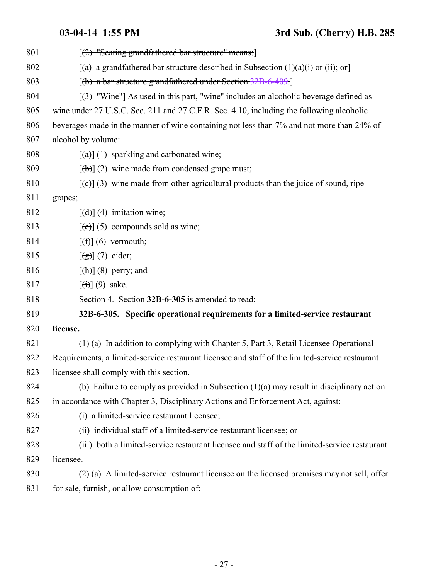<span id="page-26-0"></span>

| 801 | $[(2)$ "Seating grandfathered bar structure" means:                                                 |
|-----|-----------------------------------------------------------------------------------------------------|
| 802 | $[(a)$ a grandfathered bar structure described in Subsection $(1)(a)(i)$ or $(ii);$ or              |
| 803 | $[(b)$ a bar structure grandfathered under Section 32B-6-409.                                       |
| 804 | $[3]$ "Wine"] As used in this part, "wine" includes an alcoholic beverage defined as                |
| 805 | wine under 27 U.S.C. Sec. 211 and 27 C.F.R. Sec. 4.10, including the following alcoholic            |
| 806 | beverages made in the manner of wine containing not less than 7% and not more than 24% of           |
| 807 | alcohol by volume:                                                                                  |
| 808 | $\left[\frac{a}{a}\right]$ (1) sparkling and carbonated wine;                                       |
| 809 | $[\phi]$ (2) wine made from condensed grape must;                                                   |
| 810 | $[\text{e}(\epsilon)]$ (3) wine made from other agricultural products than the juice of sound, ripe |
| 811 | grapes;                                                                                             |
| 812 | $\left[\left(\frac{d}{d}\right)\right]$ (4) imitation wine;                                         |
| 813 | $[\text{e}(\text{e})]$ (5) compounds sold as wine;                                                  |
| 814 | $[f(f)]$ (6) vermouth;                                                                              |
| 815 | $\left[\left(\frac{g}{g}\right)\right]$ (7) cider;                                                  |
| 816 | $\left[\frac{h}{\hbar}\right]$ (8) perry; and                                                       |
| 817 | $\left[\left(\overrightarrow{t}\right)\right](9)$ sake.                                             |
| 818 | Section 4. Section 32B-6-305 is amended to read:                                                    |
| 819 | 32B-6-305. Specific operational requirements for a limited-service restaurant                       |
| 820 | license.                                                                                            |
| 821 | (1) (a) In addition to complying with Chapter 5, Part 3, Retail Licensee Operational                |
| 822 | Requirements, a limited-service restaurant licensee and staff of the limited-service restaurant     |
| 823 | licensee shall comply with this section.                                                            |
| 824 | (b) Failure to comply as provided in Subsection $(1)(a)$ may result in disciplinary action          |
| 825 | in accordance with Chapter 3, Disciplinary Actions and Enforcement Act, against:                    |
| 826 | (i) a limited-service restaurant licensee;                                                          |
| 827 | (ii) individual staff of a limited-service restaurant licensee; or                                  |
| 828 | (iii) both a limited-service restaurant licensee and staff of the limited-service restaurant        |
| 829 | licensee.                                                                                           |
| 830 | (2) (a) A limited-service restaurant licensee on the licensed premises may not sell, offer          |
| 831 | for sale, furnish, or allow consumption of:                                                         |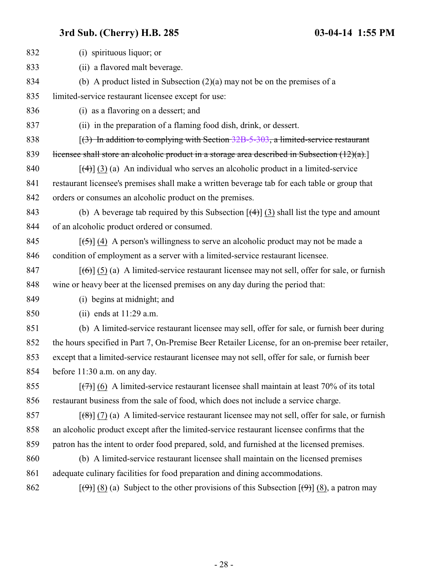| 832 | (i) spirituous liquor; or                                                                                                |
|-----|--------------------------------------------------------------------------------------------------------------------------|
| 833 | (ii) a flavored malt beverage.                                                                                           |
| 834 | (b) A product listed in Subsection $(2)(a)$ may not be on the premises of a                                              |
| 835 | limited-service restaurant licensee except for use:                                                                      |
| 836 | (i) as a flavoring on a dessert; and                                                                                     |
| 837 | (ii) in the preparation of a flaming food dish, drink, or dessert.                                                       |
| 838 | $(3)$ In addition to complying with Section 32B-5-303, a limited-service restaurant                                      |
| 839 | licensee shall store an alcoholic product in a storage area described in Subsection $(12)(a)$ .                          |
| 840 | $[\frac{4}{3}]$ (3) (a) An individual who serves an alcoholic product in a limited-service                               |
| 841 | restaurant licensee's premises shall make a written beverage tab for each table or group that                            |
| 842 | orders or consumes an alcoholic product on the premises.                                                                 |
| 843 | (b) A beverage tab required by this Subsection $\left[\frac{4}{3}\right]$ (3) shall list the type and amount             |
| 844 | of an alcoholic product ordered or consumed.                                                                             |
| 845 | $[\frac{1}{2}, \frac{1}{2}]$ (4) A person's willingness to serve an alcoholic product may not be made a                  |
| 846 | condition of employment as a server with a limited-service restaurant licensee.                                          |
| 847 | $[\text{6}]}(5)$ (5) (a) A limited-service restaurant licensee may not sell, offer for sale, or furnish                  |
| 848 | wine or heavy beer at the licensed premises on any day during the period that:                                           |
| 849 | (i) begins at midnight; and                                                                                              |
| 850 | (ii) ends at $11:29$ a.m.                                                                                                |
| 851 | (b) A limited-service restaurant licensee may sell, offer for sale, or furnish beer during                               |
| 852 | the hours specified in Part 7, On-Premise Beer Retailer License, for an on-premise beer retailer,                        |
| 853 | except that a limited-service restaurant licensee may not sell, offer for sale, or furnish beer                          |
| 854 | before 11:30 a.m. on any day.                                                                                            |
| 855 | $[\overline{(+)}]$ (6) A limited-service restaurant licensee shall maintain at least 70% of its total                    |
| 856 | restaurant business from the sale of food, which does not include a service charge.                                      |
| 857 | $\left[\frac{1}{2}\right]$ (7) (a) A limited-service restaurant licensee may not sell, offer for sale, or furnish        |
| 858 | an alcoholic product except after the limited-service restaurant licensee confirms that the                              |
| 859 | patron has the intent to order food prepared, sold, and furnished at the licensed premises.                              |
| 860 | (b) A limited-service restaurant licensee shall maintain on the licensed premises                                        |
| 861 | adequate culinary facilities for food preparation and dining accommodations.                                             |
| 862 | $[\langle 9 \rangle]$ (8) (a) Subject to the other provisions of this Subsection $[\langle 9 \rangle]$ (8), a patron may |
|     |                                                                                                                          |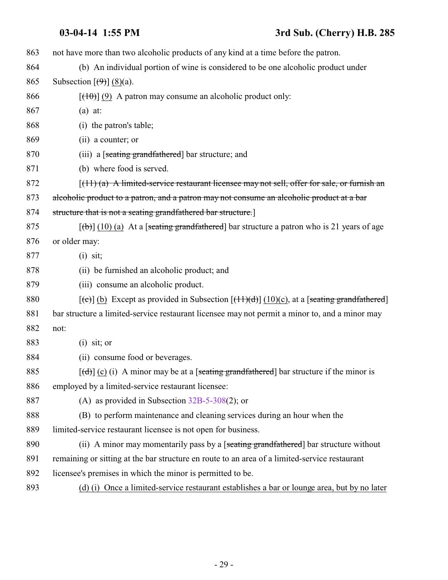## **03-04-14 1:55 PM 3rd Sub. (Cherry) H.B. 285**

| 863 | not have more than two alcoholic products of any kind at a time before the patron.                             |
|-----|----------------------------------------------------------------------------------------------------------------|
| 864 | (b) An individual portion of wine is considered to be one alcoholic product under                              |
| 865 | Subsection $[\left(4\right)] (8)(a)$ .                                                                         |
| 866 | $[\frac{(10)}{(9)}]$ A patron may consume an alcoholic product only:                                           |
| 867 | $(a)$ at:                                                                                                      |
| 868 | (i) the patron's table;                                                                                        |
| 869 | (ii) a counter; or                                                                                             |
| 870 | (iii) a [seating grandfathered] bar structure; and                                                             |
| 871 | (b) where food is served.                                                                                      |
| 872 | $\lceil$ (11) (a) A limited-service restaurant licensee may not sell, offer for sale, or furnish an            |
| 873 | alcoholic product to a patron, and a patron may not consume an alcoholic product at a bar                      |
| 874 | structure that is not a seating grandfathered bar structure.]                                                  |
| 875 | $[\text{(+)}]$ (10) (a) At a [seating grandfathered] bar structure a patron who is 21 years of age             |
| 876 | or older may:                                                                                                  |
| 877 | $(i)$ sit;                                                                                                     |
| 878 | (ii) be furnished an alcoholic product; and                                                                    |
| 879 | (iii) consume an alcoholic product.                                                                            |
| 880 | $[\text{~}(e)]$ (b) Except as provided in Subsection $[\text{~}(11)(d)]$ (10)(c), at a [seating grandfathered] |
| 881 | bar structure a limited-service restaurant licensee may not permit a minor to, and a minor may                 |
| 882 | not:                                                                                                           |
| 883 | $(i)$ sit; or                                                                                                  |
| 884 | (ii) consume food or beverages.                                                                                |
| 885 | $[\text{d} \cdot \text{d}]$ (c) (i) A minor may be at a [seating grandfathered] bar structure if the minor is  |
| 886 | employed by a limited-service restaurant licensee:                                                             |
| 887 | (A) as provided in Subsection $32B-5-308(2)$ ; or                                                              |
| 888 | (B) to perform maintenance and cleaning services during an hour when the                                       |
| 889 | limited-service restaurant licensee is not open for business.                                                  |
| 890 | (ii) A minor may momentarily pass by a [seating grandfathered] bar structure without                           |
| 891 | remaining or sitting at the bar structure en route to an area of a limited-service restaurant                  |
| 892 | licensee's premises in which the minor is permitted to be.                                                     |
| 893 | (d) (i) Once a limited-service restaurant establishes a bar or lounge area, but by no later                    |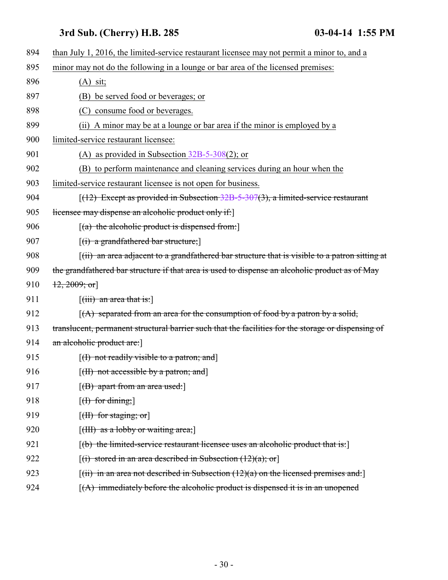| 894 | than July 1, 2016, the limited-service restaurant licensee may not permit a minor to, and a                          |
|-----|----------------------------------------------------------------------------------------------------------------------|
| 895 | minor may not do the following in a lounge or bar area of the licensed premises:                                     |
| 896 | $(A)$ sit;                                                                                                           |
| 897 | (B) be served food or beverages; or                                                                                  |
| 898 | (C) consume food or beverages.                                                                                       |
| 899 | A minor may be at a lounge or bar area if the minor is employed by a<br>(i)                                          |
| 900 | limited-service restaurant licensee:                                                                                 |
| 901 | (A) as provided in Subsection $32B-5-308(2)$ ; or                                                                    |
| 902 | (B) to perform maintenance and cleaning services during an hour when the                                             |
| 903 | limited-service restaurant licensee is not open for business.                                                        |
| 904 | $[(12)$ Except as provided in Subsection 32B-5-307(3), a limited-service restaurant                                  |
| 905 | licensee may dispense an alcoholic product only if:                                                                  |
| 906 | $[(a)$ the alcoholic product is dispensed from:                                                                      |
| 907 | $[(i)$ a grandfathered bar structure;                                                                                |
| 908 | $\left[\right(\mathbf{ii})$ an area adjacent to a grandfathered bar structure that is visible to a patron sitting at |
| 909 | the grandfathered bar structure if that area is used to dispense an alcoholic product as of May                      |
| 910 | $\{12, 2009; \text{or}\}$                                                                                            |
| 911 | $[(iii)$ an area that is:                                                                                            |
| 912 | $(A)$ separated from an area for the consumption of food by a patron by a solid,                                     |
| 913 | translucent, permanent structural barrier such that the facilities for the storage or dispensing of                  |
| 914 | an alcoholic product are:                                                                                            |
| 915 | $[(1)$ not readily visible to a patron; and                                                                          |
| 916 | [ <del>(II) not accessible by a patron; and</del> ]                                                                  |
| 917 | $[({\rm B})$ apart from an area used:                                                                                |
| 918 | $[f]$ for dining;                                                                                                    |
| 919 | $[\text{H}\text{H}\text{ for staying};\text{or}]$                                                                    |
| 920 | $[\text{(HH)}]$ as a lobby or waiting area;                                                                          |
| 921 | [(b) the limited-service restaurant licensee uses an alcoholic product that is:]                                     |
| 922 | $[(i)$ stored in an area described in Subsection $(12)(a)$ ; or                                                      |
| 923 | $[(ii)$ in an area not described in Subsection $(12)(a)$ on the licensed premises and:                               |
| 924 | $(A)$ immediately before the alcoholic product is dispensed it is in an unopened                                     |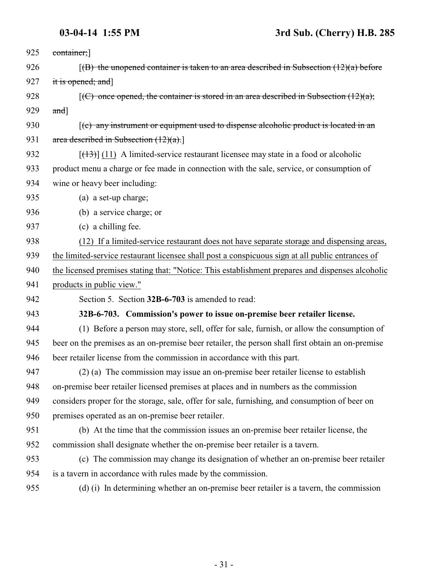<span id="page-30-0"></span>

| 925 | container;]                                                                                           |
|-----|-------------------------------------------------------------------------------------------------------|
| 926 | $(6)$ the unopened container is taken to an area described in Subsection $(12)(a)$ before             |
| 927 | it is opened; and]                                                                                    |
| 928 | $\overline{f(C)}$ once opened, the container is stored in an area described in Subsection $(12)(a)$ ; |
| 929 | $and$ ]                                                                                               |
| 930 | $(c)$ any instrument or equipment used to dispense alcoholic product is located in an                 |
| 931 | area described in Subsection $(12)(a)$ .                                                              |
| 932 | $[ (13) ]$ (11) A limited-service restaurant licensee may state in a food or alcoholic                |
| 933 | product menu a charge or fee made in connection with the sale, service, or consumption of             |
| 934 | wine or heavy beer including:                                                                         |
| 935 | (a) a set-up charge;                                                                                  |
| 936 | (b) a service charge; or                                                                              |
| 937 | (c) a chilling fee.                                                                                   |
| 938 | (12) If a limited-service restaurant does not have separate storage and dispensing areas,             |
| 939 | the limited-service restaurant licensee shall post a conspicuous sign at all public entrances of      |
| 940 | the licensed premises stating that: "Notice: This establishment prepares and dispenses alcoholic      |
| 941 | products in public view."                                                                             |
| 942 | Section 5. Section 32B-6-703 is amended to read:                                                      |
| 943 | 32B-6-703. Commission's power to issue on-premise beer retailer license.                              |
| 944 | (1) Before a person may store, sell, offer for sale, furnish, or allow the consumption of             |
| 945 | beer on the premises as an on-premise beer retailer, the person shall first obtain an on-premise      |
| 946 | beer retailer license from the commission in accordance with this part.                               |
| 947 | (2) (a) The commission may issue an on-premise beer retailer license to establish                     |
| 948 | on-premise beer retailer licensed premises at places and in numbers as the commission                 |
| 949 | considers proper for the storage, sale, offer for sale, furnishing, and consumption of beer on        |
| 950 | premises operated as an on-premise beer retailer.                                                     |
| 951 | (b) At the time that the commission issues an on-premise beer retailer license, the                   |
| 952 | commission shall designate whether the on-premise beer retailer is a tavern.                          |
| 953 | (c) The commission may change its designation of whether an on-premise beer retailer                  |
| 954 | is a tavern in accordance with rules made by the commission.                                          |
| 955 | (d) (i) In determining whether an on-premise beer retailer is a tavern, the commission                |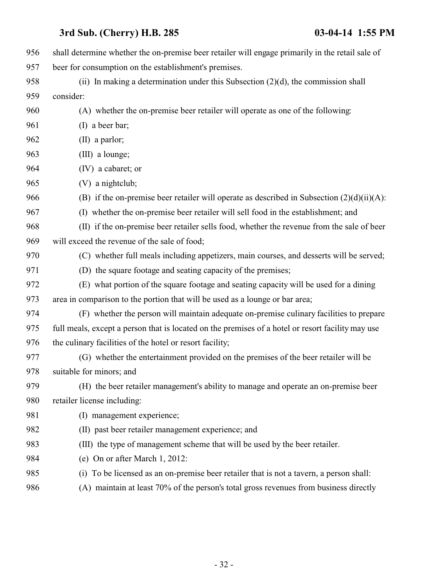| 956 | shall determine whether the on-premise beer retailer will engage primarily in the retail sale of  |
|-----|---------------------------------------------------------------------------------------------------|
| 957 | beer for consumption on the establishment's premises.                                             |
| 958 | (ii) In making a determination under this Subsection $(2)(d)$ , the commission shall              |
| 959 | consider:                                                                                         |
| 960 | (A) whether the on-premise beer retailer will operate as one of the following:                    |
| 961 | (I) a beer bar;                                                                                   |
| 962 | $(II)$ a parlor;                                                                                  |
| 963 | (III) a lounge;                                                                                   |
| 964 | (IV) a cabaret; or                                                                                |
| 965 | (V) a nightclub;                                                                                  |
| 966 | (B) if the on-premise beer retailer will operate as described in Subsection $(2)(d)(ii)(A)$ :     |
| 967 | (I) whether the on-premise beer retailer will sell food in the establishment; and                 |
| 968 | (II) if the on-premise beer retailer sells food, whether the revenue from the sale of beer        |
| 969 | will exceed the revenue of the sale of food;                                                      |
| 970 | (C) whether full meals including appetizers, main courses, and desserts will be served;           |
| 971 | (D) the square footage and seating capacity of the premises;                                      |
| 972 | (E) what portion of the square footage and seating capacity will be used for a dining             |
| 973 | area in comparison to the portion that will be used as a lounge or bar area;                      |
| 974 | (F) whether the person will maintain adequate on-premise culinary facilities to prepare           |
| 975 | full meals, except a person that is located on the premises of a hotel or resort facility may use |
| 976 | the culinary facilities of the hotel or resort facility;                                          |
| 977 | (G) whether the entertainment provided on the premises of the beer retailer will be               |
| 978 | suitable for minors; and                                                                          |
| 979 | (H) the beer retailer management's ability to manage and operate an on-premise beer               |
| 980 | retailer license including:                                                                       |
| 981 | (I) management experience;                                                                        |
| 982 | (II) past beer retailer management experience; and                                                |
| 983 | (III) the type of management scheme that will be used by the beer retailer.                       |
| 984 | (e) On or after March 1, 2012:                                                                    |
| 985 | To be licensed as an on-premise beer retailer that is not a tavern, a person shall:<br>(i)        |
| 986 | (A) maintain at least 70% of the person's total gross revenues from business directly             |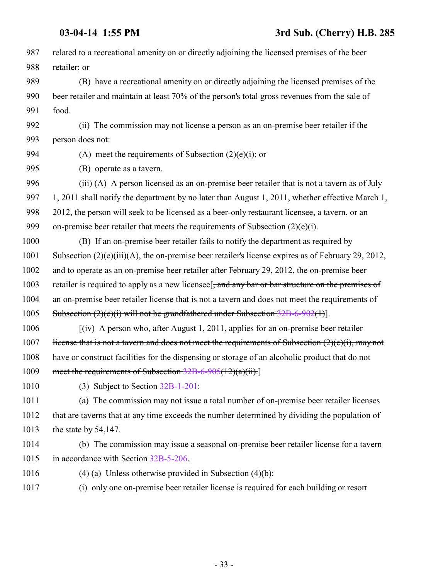| 987  | related to a recreational amenity on or directly adjoining the licensed premises of the beer          |
|------|-------------------------------------------------------------------------------------------------------|
| 988  | retailer; or                                                                                          |
| 989  | (B) have a recreational amenity on or directly adjoining the licensed premises of the                 |
| 990  | beer retailer and maintain at least 70% of the person's total gross revenues from the sale of         |
| 991  | food.                                                                                                 |
| 992  | (ii) The commission may not license a person as an on-premise beer retailer if the                    |
| 993  | person does not:                                                                                      |
| 994  | (A) meet the requirements of Subsection $(2)(e)(i)$ ; or                                              |
| 995  | (B) operate as a tavern.                                                                              |
| 996  | (iii) (A) A person licensed as an on-premise beer retailer that is not a tavern as of July            |
| 997  | 1, 2011 shall notify the department by no later than August 1, 2011, whether effective March 1,       |
| 998  | 2012, the person will seek to be licensed as a beer-only restaurant licensee, a tavern, or an         |
| 999  | on-premise beer retailer that meets the requirements of Subsection $(2)(e)(i)$ .                      |
| 1000 | (B) If an on-premise beer retailer fails to notify the department as required by                      |
| 1001 | Subsection $(2)(e)(iii)(A)$ , the on-premise beer retailer's license expires as of February 29, 2012, |
| 1002 | and to operate as an on-premise beer retailer after February 29, 2012, the on-premise beer            |
| 1003 | retailer is required to apply as a new licensee. and any bar or bar structure on the premises of      |
| 1004 | an on-premise beer retailer license that is not a tavern and does not meet the requirements of        |
| 1005 | Subsection $(2)(e)(i)$ will not be grandfathered under Subsection $32B-6-902(1)$ ].                   |
| 1006 | $f(iv)$ A person who, after August 1, 2011, applies for an on-premise beer retailer                   |
| 1007 | license that is not a tavern and does not meet the requirements of Subsection $(2)(e)(i)$ , may not   |
| 1008 | have or construct facilities for the dispensing or storage of an alcoholic product that do not        |
| 1009 | meet the requirements of Subsection $32B-6-905(12)(a)(ii)$ .                                          |
| 1010 | $(3)$ Subject to Section 32B-1-201:                                                                   |
| 1011 | (a) The commission may not issue a total number of on-premise beer retailer licenses                  |
| 1012 | that are taverns that at any time exceeds the number determined by dividing the population of         |
| 1013 | the state by 54,147.                                                                                  |
| 1014 | (b) The commission may issue a seasonal on-premise beer retailer license for a tavern                 |
| 1015 | in accordance with Section 32B-5-206.                                                                 |
| 1016 | $(4)$ (a) Unless otherwise provided in Subsection $(4)(b)$ :                                          |
| 1017 | (i) only one on-premise beer retailer license is required for each building or resort                 |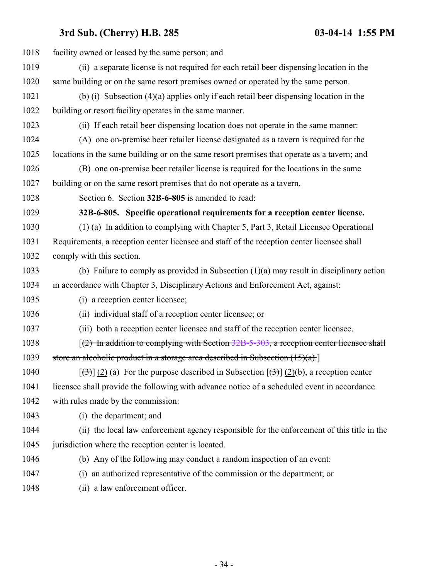<span id="page-33-0"></span>

| 1018 | facility owned or leased by the same person; and                                                                     |
|------|----------------------------------------------------------------------------------------------------------------------|
| 1019 | (ii) a separate license is not required for each retail beer dispensing location in the                              |
| 1020 | same building or on the same resort premises owned or operated by the same person.                                   |
| 1021 | (b) (i) Subsection $(4)(a)$ applies only if each retail beer dispensing location in the                              |
| 1022 | building or resort facility operates in the same manner.                                                             |
| 1023 | (ii) If each retail beer dispensing location does not operate in the same manner:                                    |
| 1024 | (A) one on-premise beer retailer license designated as a tavern is required for the                                  |
| 1025 | locations in the same building or on the same resort premises that operate as a tavern; and                          |
| 1026 | (B) one on-premise beer retailer license is required for the locations in the same                                   |
| 1027 | building or on the same resort premises that do not operate as a tavern.                                             |
| 1028 | Section 6. Section 32B-6-805 is amended to read:                                                                     |
| 1029 | 32B-6-805. Specific operational requirements for a reception center license.                                         |
| 1030 | (1) (a) In addition to complying with Chapter 5, Part 3, Retail Licensee Operational                                 |
| 1031 | Requirements, a reception center licensee and staff of the reception center licensee shall                           |
| 1032 | comply with this section.                                                                                            |
| 1033 | (b) Failure to comply as provided in Subsection $(1)(a)$ may result in disciplinary action                           |
| 1034 | in accordance with Chapter 3, Disciplinary Actions and Enforcement Act, against:                                     |
| 1035 | (i) a reception center licensee;                                                                                     |
| 1036 | (ii) individual staff of a reception center licensee; or                                                             |
| 1037 | (iii) both a reception center licensee and staff of the reception center licensee.                                   |
| 1038 | $(2)$ In addition to complying with Section 32B-5-303, a reception center licensee shall                             |
| 1039 | store an alcoholic product in a storage area described in Subsection $(15)(a)$ .                                     |
| 1040 | $[\langle 3\rangle]$ (2) (a) For the purpose described in Subsection $[\langle 3\rangle]$ (2)(b), a reception center |
| 1041 | licensee shall provide the following with advance notice of a scheduled event in accordance                          |
| 1042 | with rules made by the commission:                                                                                   |
| 1043 | (i) the department; and                                                                                              |
| 1044 | (ii) the local law enforcement agency responsible for the enforcement of this title in the                           |
| 1045 | jurisdiction where the reception center is located.                                                                  |
| 1046 | (b) Any of the following may conduct a random inspection of an event:                                                |
| 1047 | an authorized representative of the commission or the department; or<br>(i)                                          |
| 1048 | (ii) a law enforcement officer.                                                                                      |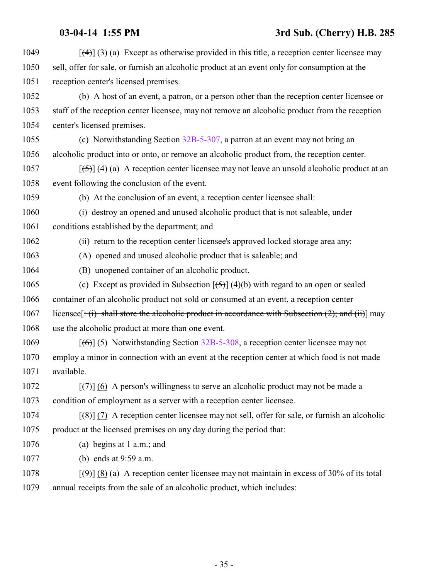$\left[\frac{(4)}{(3)}\right]$  (3) (a) Except as otherwise provided in this title, a reception center licensee may sell, offer for sale, or furnish an alcoholic product at an event only for consumption at the reception center's licensed premises. (b) A host of an event, a patron, or a person other than the reception center licensee or staff of the reception center licensee, may not remove an alcoholic product from the reception center's licensed premises. (c) Notwithstanding Section [32B-5-307](http://le.utah.gov/UtahCode/SectionLookup.jsp?section=32b-5-307&session=2014GS), a patron at an event may not bring an alcoholic product into or onto, or remove an alcoholic product from, the reception center.  $\left[\left(\frac{5}{2}\right)\right]$  (4) (a) A reception center licensee may not leave an unsold alcoholic product at an event following the conclusion of the event. (b) At the conclusion of an event, a reception center licensee shall: (i) destroy an opened and unused alcoholic product that is not saleable, under conditions established by the department; and (ii) return to the reception center licensee's approved locked storage area any: (A) opened and unused alcoholic product that is saleable; and (B) unopened container of an alcoholic product. 1065 (c) Except as provided in Subsection  $\overline{(6)}$  (4)(b) with regard to an open or sealed container of an alcoholic product not sold or consumed at an event, a reception center 1067 licensee  $[\div(\mathbf{i}) \cdot \mathbf{shall}$  store the alcoholic product in accordance with Subsection (2); and (ii)] may use the alcoholic product at more than one event. 1069 [(6)] (5) Notwithstanding Section [32B-5-308](http://le.utah.gov/UtahCode/SectionLookup.jsp?section=32b-5-308&session=2014GS), a reception center licensee may not employ a minor in connection with an event at the reception center at which food is not made available.  $\lceil(7)\rceil$  (6) A person's willingness to serve an alcoholic product may not be made a condition of employment as a server with a reception center licensee. [(8)] (7) A reception center licensee may not sell, offer for sale, or furnish an alcoholic product at the licensed premises on any day during the period that: (a) begins at 1 a.m.; and (b) ends at 9:59 a.m.  $[\langle 9 \rangle] (8) (a)$  A reception center licensee may not maintain in excess of 30% of its total annual receipts from the sale of an alcoholic product, which includes: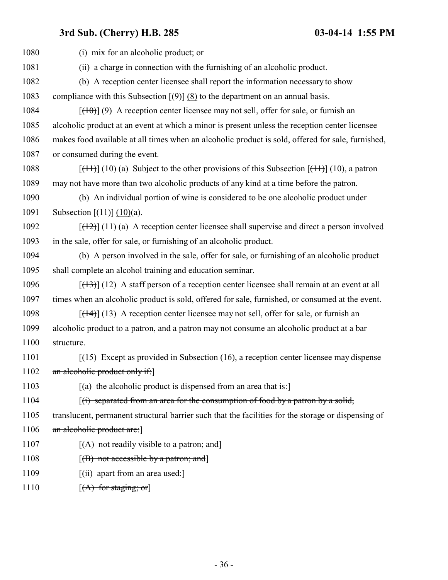| 1080 | (i) mix for an alcoholic product; or                                                                                   |
|------|------------------------------------------------------------------------------------------------------------------------|
| 1081 | (ii) a charge in connection with the furnishing of an alcoholic product.                                               |
| 1082 | (b) A reception center licensee shall report the information necessary to show                                         |
| 1083 | compliance with this Subsection $[\Theta]$ (8) to the department on an annual basis.                                   |
| 1084 | $[\frac{(10)}{(9)}]$ (9) A reception center licensee may not sell, offer for sale, or furnish an                       |
| 1085 | alcoholic product at an event at which a minor is present unless the reception center licensee                         |
| 1086 | makes food available at all times when an alcoholic product is sold, offered for sale, furnished,                      |
| 1087 | or consumed during the event.                                                                                          |
| 1088 | $[\frac{(11)}{(10)}]$ (10) (a) Subject to the other provisions of this Subsection $[\frac{(11)}{(10)}]$ (10), a patron |
| 1089 | may not have more than two alcoholic products of any kind at a time before the patron.                                 |
| 1090 | (b) An individual portion of wine is considered to be one alcoholic product under                                      |
| 1091 | Subsection $[\frac{(1+1)}{(10)}]$ (10)(a).                                                                             |
| 1092 | $[$ (11) (a) A reception center licensee shall supervise and direct a person involved                                  |
| 1093 | in the sale, offer for sale, or furnishing of an alcoholic product.                                                    |
| 1094 | (b) A person involved in the sale, offer for sale, or furnishing of an alcoholic product                               |
| 1095 | shall complete an alcohol training and education seminar.                                                              |
| 1096 | $[ (13) ]$ (12) A staff person of a reception center licensee shall remain at an event at all                          |
| 1097 | times when an alcoholic product is sold, offered for sale, furnished, or consumed at the event.                        |
| 1098 | $[\frac{14}{13}]$ (13) A reception center licensee may not sell, offer for sale, or furnish an                         |
| 1099 | alcoholic product to a patron, and a patron may not consume an alcoholic product at a bar                              |
| 1100 | structure.                                                                                                             |
| 1101 | $(15)$ Except as provided in Subsection $(16)$ , a reception center licensee may dispense                              |
| 1102 | an alcoholic product only if:                                                                                          |
| 1103 | $[(a)$ the alcoholic product is dispensed from an area that is:                                                        |
| 1104 | $\left[\right(\mathbf{i}\right)$ separated from an area for the consumption of food by a patron by a solid,            |
| 1105 | translucent, permanent structural barrier such that the facilities for the storage or dispensing of                    |
| 1106 | an alcoholic product are:                                                                                              |
| 1107 | $[(A)$ not readily visible to a patron; and                                                                            |
| 1108 | $[(B)$ not accessible by a patron; and                                                                                 |
| 1109 | [ <del>(ii) apart from an area used:</del> ]                                                                           |
| 1110 | $[(A)$ for staging; or                                                                                                 |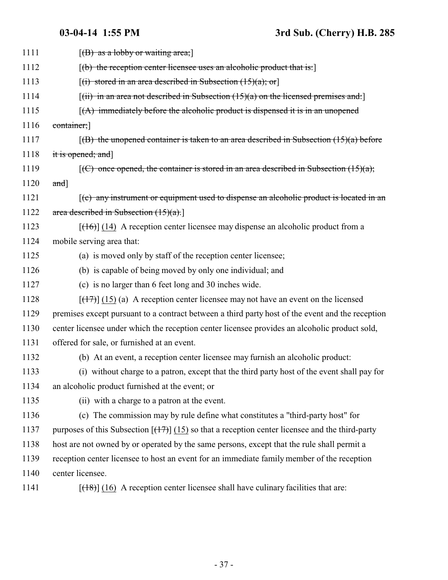| 1111 | $[(B)$ as a lobby or waiting area;                                                                                        |
|------|---------------------------------------------------------------------------------------------------------------------------|
| 1112 | $[$ (b) the reception center licensee uses an alcoholic product that is:                                                  |
| 1113 | $[(i)$ stored in an area described in Subsection $(15)(a)$ ; or                                                           |
| 1114 | $[(ii)$ in an area not described in Subsection $(15)(a)$ on the licensed premises and:                                    |
| 1115 | $(A)$ immediately before the alcoholic product is dispensed it is in an unopened                                          |
| 1116 | container;                                                                                                                |
| 1117 | $(6)$ the unopened container is taken to an area described in Subsection $(15)(a)$ before                                 |
| 1118 | it is opened; and]                                                                                                        |
| 1119 | $[(C)$ once opened, the container is stored in an area described in Subsection $(15)(a)$ ;                                |
| 1120 | $and$ ]                                                                                                                   |
| 1121 | $\mathfrak{f}(e)$ any instrument or equipment used to dispense an alcoholic product is located in an                      |
| 1122 | area described in Subsection $(15)(a)$ .                                                                                  |
| 1123 | $[ (16) ]$ (14) A reception center licensee may dispense an alcoholic product from a                                      |
| 1124 | mobile serving area that:                                                                                                 |
| 1125 | (a) is moved only by staff of the reception center licensee;                                                              |
| 1126 | (b) is capable of being moved by only one individual; and                                                                 |
| 1127 | (c) is no larger than 6 feet long and 30 inches wide.                                                                     |
| 1128 | $[ (17) ] (15)$ (a) A reception center licensee may not have an event on the licensed                                     |
| 1129 | premises except pursuant to a contract between a third party host of the event and the reception                          |
| 1130 | center licensee under which the reception center licensee provides an alcoholic product sold,                             |
| 1131 | offered for sale, or furnished at an event.                                                                               |
| 1132 | (b) At an event, a reception center licensee may furnish an alcoholic product:                                            |
| 1133 | (i) without charge to a patron, except that the third party host of the event shall pay for                               |
| 1134 | an alcoholic product furnished at the event; or                                                                           |
| 1135 | (ii) with a charge to a patron at the event.                                                                              |
| 1136 | (c) The commission may by rule define what constitutes a "third-party host" for                                           |
| 1137 | purposes of this Subsection $\left[\frac{(17)}{(15)}\right]$ (15) so that a reception center licensee and the third-party |
| 1138 | host are not owned by or operated by the same persons, except that the rule shall permit a                                |
| 1139 | reception center licensee to host an event for an immediate family member of the reception                                |
| 1140 | center licensee.                                                                                                          |
| 1141 | $[ (18) ]$ (16) A reception center licensee shall have culinary facilities that are:                                      |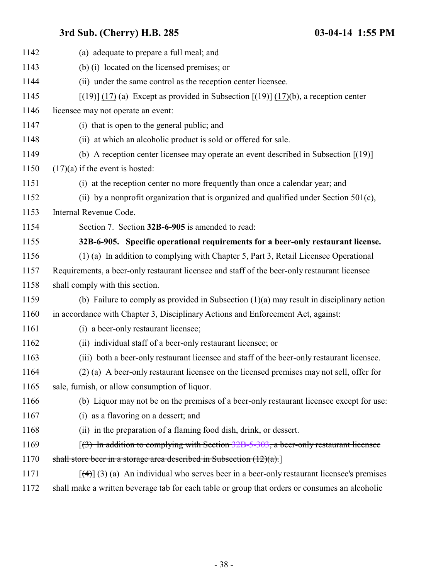<span id="page-37-0"></span>

| 1142 | (a) adequate to prepare a full meal; and                                                                                |
|------|-------------------------------------------------------------------------------------------------------------------------|
| 1143 | (b) (i) located on the licensed premises; or                                                                            |
| 1144 | (ii) under the same control as the reception center licensee.                                                           |
| 1145 | $[\frac{(19)}{(17)}]$ (17) (a) Except as provided in Subsection $[\frac{(19)}{(17)}]$ (17)(b), a reception center       |
| 1146 | licensee may not operate an event:                                                                                      |
| 1147 | (i) that is open to the general public; and                                                                             |
| 1148 | (ii) at which an alcoholic product is sold or offered for sale.                                                         |
| 1149 | (b) A reception center licensee may operate an event described in Subsection $[$ ( $\uparrow$ $\uparrow$ $\uparrow$ $]$ |
| 1150 | $(17)(a)$ if the event is hosted:                                                                                       |
| 1151 | (i) at the reception center no more frequently than once a calendar year; and                                           |
| 1152 | (ii) by a nonprofit organization that is organized and qualified under Section $501(c)$ ,                               |
| 1153 | Internal Revenue Code.                                                                                                  |
| 1154 | Section 7. Section 32B-6-905 is amended to read:                                                                        |
| 1155 | 32B-6-905. Specific operational requirements for a beer-only restaurant license.                                        |
| 1156 | (1) (a) In addition to complying with Chapter 5, Part 3, Retail Licensee Operational                                    |
| 1157 | Requirements, a beer-only restaurant licensee and staff of the beer-only restaurant licensee                            |
| 1158 | shall comply with this section.                                                                                         |
| 1159 | (b) Failure to comply as provided in Subsection $(1)(a)$ may result in disciplinary action                              |
| 1160 | in accordance with Chapter 3, Disciplinary Actions and Enforcement Act, against:                                        |
| 1161 | (i) a beer-only restaurant licensee;                                                                                    |
| 1162 | (ii) individual staff of a beer-only restaurant licensee; or                                                            |
| 1163 | (iii) both a beer-only restaurant licensee and staff of the beer-only restaurant licensee.                              |
| 1164 | (2) (a) A beer-only restaurant licensee on the licensed premises may not sell, offer for                                |
| 1165 | sale, furnish, or allow consumption of liquor.                                                                          |
| 1166 | (b) Liquor may not be on the premises of a beer-only restaurant licensee except for use:                                |
| 1167 | (i) as a flavoring on a dessert; and                                                                                    |
| 1168 | (ii) in the preparation of a flaming food dish, drink, or dessert.                                                      |
| 1169 | $(3)$ In addition to complying with Section 32B-5-303, a beer-only restaurant licensee                                  |
| 1170 | shall store beer in a storage area described in Subsection $(12)(a)$ .                                                  |
| 1171 | $[\frac{4}{3}]$ (3) (a) An individual who serves beer in a beer-only restaurant licensee's premises                     |
| 1172 | shall make a written beverage tab for each table or group that orders or consumes an alcoholic                          |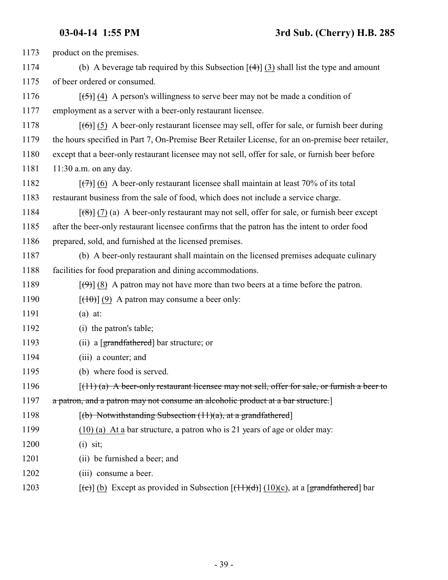| 1173 | product on the premises.                                                                                                   |
|------|----------------------------------------------------------------------------------------------------------------------------|
| 1174 | (b) A beverage tab required by this Subsection $\left[\frac{4}{3}\right]$ (3) shall list the type and amount               |
| 1175 | of beer ordered or consumed.                                                                                               |
| 1176 | $[\frac{5}{3}]$ (4) A person's willingness to serve beer may not be made a condition of                                    |
| 1177 | employment as a server with a beer-only restaurant licensee.                                                               |
| 1178 | $[66]$ (5) A beer-only restaurant licensee may sell, offer for sale, or furnish beer during                                |
| 1179 | the hours specified in Part 7, On-Premise Beer Retailer License, for an on-premise beer retailer,                          |
| 1180 | except that a beer-only restaurant licensee may not sell, offer for sale, or furnish beer before                           |
| 1181 | $11:30$ a.m. on any day.                                                                                                   |
| 1182 | $[\overline{(+)}]$ (6) A beer-only restaurant licensee shall maintain at least 70% of its total                            |
| 1183 | restaurant business from the sale of food, which does not include a service charge.                                        |
| 1184 | $[\frac{1}{8}]$ (7) (a) A beer-only restaurant may not sell, offer for sale, or furnish beer except                        |
| 1185 | after the beer-only restaurant licensee confirms that the patron has the intent to order food                              |
| 1186 | prepared, sold, and furnished at the licensed premises.                                                                    |
| 1187 | (b) A beer-only restaurant shall maintain on the licensed premises adequate culinary                                       |
| 1188 | facilities for food preparation and dining accommodations.                                                                 |
| 1189 | $[\langle 9 \rangle]$ (8) A patron may not have more than two beers at a time before the patron.                           |
| 1190 | $[\left(10\right)]$ (9) A patron may consume a beer only:                                                                  |
| 1191 | $(a)$ at:                                                                                                                  |
| 1192 | (i) the patron's table;                                                                                                    |
| 1193 | (ii) a $[grandfathered]$ bar structure; or                                                                                 |
| 1194 | (iii) a counter; and                                                                                                       |
| 1195 | (b) where food is served.                                                                                                  |
| 1196 | $\left[\frac{(11)}{(a)} \text{ A beer-only restaurant license may not sell, offer for sale, or furnish a beer to }\right]$ |
| 1197 | a patron, and a patron may not consume an alcoholic product at a bar structure.                                            |
| 1198 | $[(b)$ Notwithstanding Subsection $(11)(a)$ , at a grandfathered                                                           |
| 1199 | $(10)$ (a) At a bar structure, a patron who is 21 years of age or older may:                                               |
| 1200 | $(i)$ sit;                                                                                                                 |
| 1201 | (ii) be furnished a beer; and                                                                                              |
| 1202 | (iii) consume a beer.                                                                                                      |
| 1203 | $[\text{e}(\text{e})]$ (b) Except as provided in Subsection $[\text{f}(1\text{f})(d)]$ (10)(c), at a [grandfathered] bar   |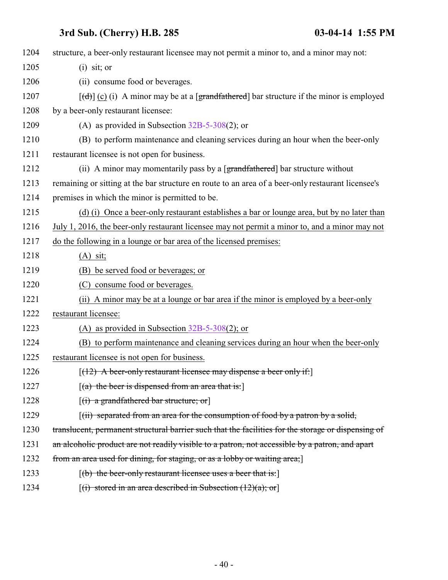| 1204 | structure, a beer-only restaurant licensee may not permit a minor to, and a minor may not:               |
|------|----------------------------------------------------------------------------------------------------------|
| 1205 | $(i)$ sit; or                                                                                            |
| 1206 | (ii) consume food or beverages.                                                                          |
| 1207 | $[\text{td}]$ (c) (i) A minor may be at a [grandfathered] bar structure if the minor is employed         |
| 1208 | by a beer-only restaurant licensee:                                                                      |
| 1209 | (A) as provided in Subsection $32B-5-308(2)$ ; or                                                        |
| 1210 | (B) to perform maintenance and cleaning services during an hour when the beer-only                       |
| 1211 | restaurant licensee is not open for business.                                                            |
| 1212 | (ii) A minor may momentarily pass by a [grandfathered] bar structure without                             |
| 1213 | remaining or sitting at the bar structure en route to an area of a beer-only restaurant licensee's       |
| 1214 | premises in which the minor is permitted to be.                                                          |
| 1215 | (d) (i) Once a beer-only restaurant establishes a bar or lounge area, but by no later than               |
| 1216 | July 1, 2016, the beer-only restaurant licensee may not permit a minor to, and a minor may not           |
| 1217 | do the following in a lounge or bar area of the licensed premises:                                       |
| 1218 | $(A)$ sit;                                                                                               |
| 1219 | (B) be served food or beverages; or                                                                      |
| 1220 | (C) consume food or beverages.                                                                           |
| 1221 | (ii) A minor may be at a lounge or bar area if the minor is employed by a beer-only                      |
| 1222 | restaurant licensee:                                                                                     |
| 1223 | (A) as provided in Subsection $32B-5-308(2)$ ; or                                                        |
| 1224 | (B) to perform maintenance and cleaning services during an hour when the beer-only                       |
| 1225 | restaurant licensee is not open for business.                                                            |
| 1226 | $[ (12)$ A beer-only restaurant licensee may dispense a beer only if:                                    |
| 1227 | $[(a)$ the beer is dispensed from an area that is:                                                       |
| 1228 | $[(i)$ a grandfathered bar structure; or                                                                 |
| 1229 | $\left[\left(i\right)\right]$ separated from an area for the consumption of food by a patron by a solid, |
| 1230 | translucent, permanent structural barrier such that the facilities for the storage or dispensing of      |
| 1231 | an alcoholic product are not readily visible to a patron, not accessible by a patron, and apart          |
| 1232 | from an area used for dining, for staging, or as a lobby or waiting area;                                |
| 1233 | $[(b)$ the beer-only restaurant licensee uses a beer that is:                                            |
| 1234 | $[(i)$ stored in an area described in Subsection $(12)(a)$ ; or                                          |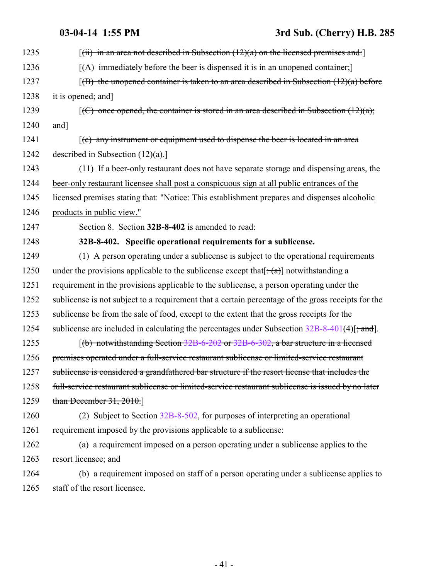<span id="page-40-0"></span>

| 1235 | $[(ii)$ in an area not described in Subsection $(12)(a)$ on the licensed premises and:             |
|------|----------------------------------------------------------------------------------------------------|
| 1236 | $[(A)$ immediately before the beer is dispensed it is in an unopened container;                    |
| 1237 | $(6)$ the unopened container is taken to an area described in Subsection $(12)(a)$ before          |
| 1238 | it is opened; and]                                                                                 |
| 1239 | $[(C)$ once opened, the container is stored in an area described in Subsection $(12)(a)$ ;         |
| 1240 | $and$ ]                                                                                            |
| 1241 | $(c)$ any instrument or equipment used to dispense the beer is located in an area                  |
| 1242 | described in Subsection $(12)(a)$ .                                                                |
| 1243 | (11) If a beer-only restaurant does not have separate storage and dispensing areas, the            |
| 1244 | beer-only restaurant licensee shall post a conspicuous sign at all public entrances of the         |
| 1245 | licensed premises stating that: "Notice: This establishment prepares and dispenses alcoholic       |
| 1246 | products in public view."                                                                          |
| 1247 | Section 8. Section 32B-8-402 is amended to read:                                                   |
| 1248 | 32B-8-402. Specific operational requirements for a sublicense.                                     |
| 1249 | (1) A person operating under a sublicense is subject to the operational requirements               |
| 1250 | under the provisions applicable to the sublicense except that $[\cdot(\alpha)]$ notwithstanding a  |
| 1251 | requirement in the provisions applicable to the sublicense, a person operating under the           |
| 1252 | sublicense is not subject to a requirement that a certain percentage of the gross receipts for the |
| 1253 | sublicense be from the sale of food, except to the extent that the gross receipts for the          |
| 1254 | sublicense are included in calculating the percentages under Subsection $32B-8-401(4)$ ; and.      |
| 1255 | $(6)$ notwithstanding Section 32B-6-202 or 32B-6-302, a bar structure in a licensed                |
| 1256 | premises operated under a full-service restaurant sublicense or limited-service restaurant         |
| 1257 | sublicense is considered a grandfathered bar structure if the resort license that includes the     |
| 1258 | full-service restaurant sublicense or limited-service restaurant sublicense is issued by no later  |
| 1259 | than December $31, 2010$ .                                                                         |
| 1260 | (2) Subject to Section $32B-8-502$ , for purposes of interpreting an operational                   |
| 1261 | requirement imposed by the provisions applicable to a sublicense:                                  |
| 1262 | (a) a requirement imposed on a person operating under a sublicense applies to the                  |
| 1263 | resort licensee; and                                                                               |
| 1264 | (b) a requirement imposed on staff of a person operating under a sublicense applies to             |
| 1265 | staff of the resort licensee.                                                                      |